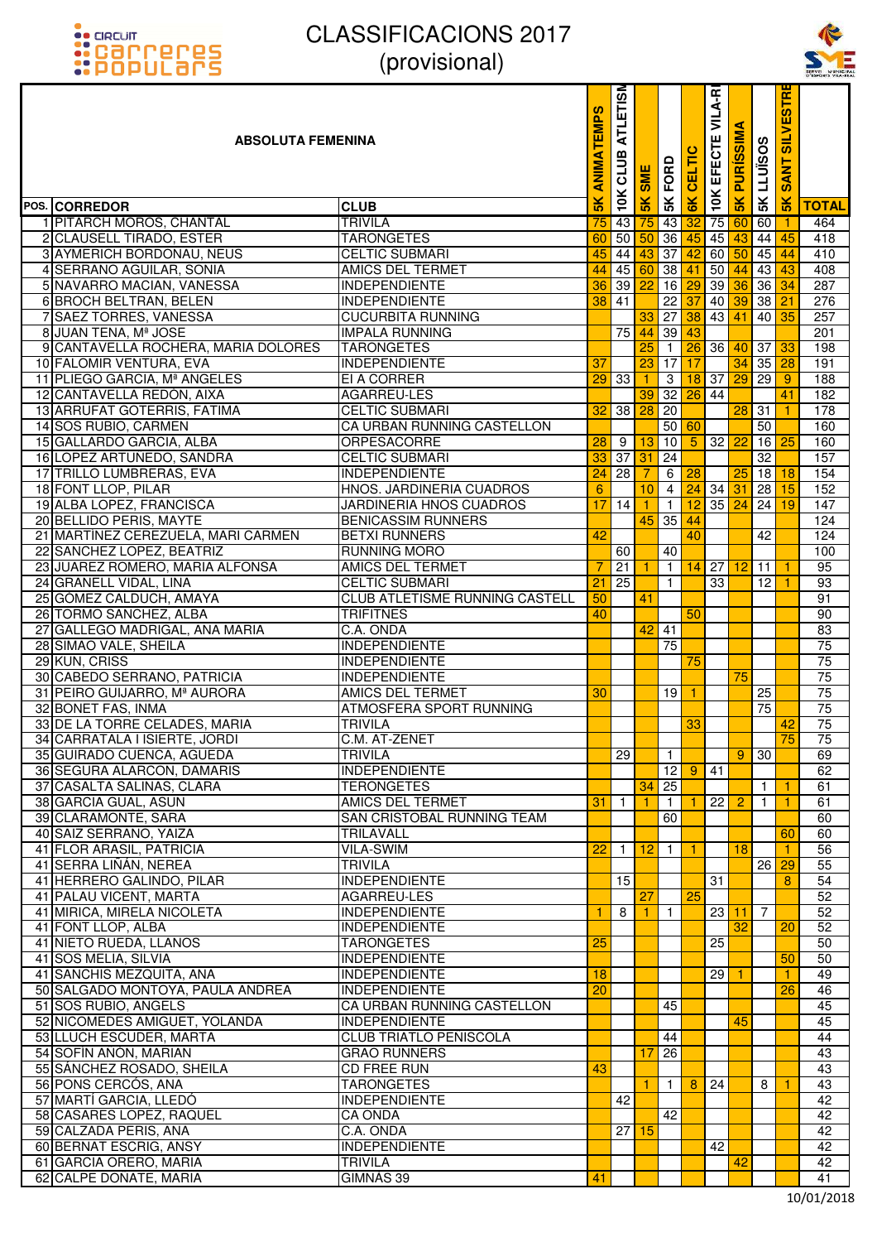



| <b>::</b> POPULƏMS                                    | UUUUUUUU                                            |                       |                         |                             |                                |                             |                                    |                      |                   |                                | SERVEI MUNICII<br>D'ESPORTS VILA-RI |
|-------------------------------------------------------|-----------------------------------------------------|-----------------------|-------------------------|-----------------------------|--------------------------------|-----------------------------|------------------------------------|----------------------|-------------------|--------------------------------|-------------------------------------|
| <b>ABSOLUTA FEMENINA</b>                              |                                                     | <b>ANIMATEMPS</b>     | <b>ATLETISM</b><br>CLUB | <b>SME</b>                  | FORD                           | 高                           | VILA-RI<br>ш<br>EFECTI             | ⋖<br><b>PURISSIM</b> | <b>SK LLUISOS</b> | <b>SILVESTR</b><br><b>SANT</b> |                                     |
| POS. CORREDOR                                         | <b>CLUB</b>                                         | 5K                    | 10K                     | $\frac{1}{2}$               | 5K                             | 6K                          | 10K                                | 5K                   |                   | 5K                             | <b>TOTAL</b>                        |
| 1 PITARCH MOROS, CHANTAL                              | <b>TRIVILA</b>                                      | 75                    |                         | 43 75                       | 43 32                          |                             |                                    |                      | 75 60 60          | $\vert$ 1                      | 464                                 |
| 2 CLAUSELL TIRADO, ESTER                              | <b>TARONGETES</b>                                   | 60                    |                         | $50\,$ 50                   |                                | 36 45                       | 45                                 | 43                   |                   | $44 \overline{45}$             | 418                                 |
| 3 AYMERICH BORDONAU, NEUS                             | <b>CELTIC SUBMARI</b>                               | 45                    |                         | $44 \overline{\smash{)}43}$ |                                | $37 \overline{\smash{)}42}$ | 60                                 |                      | $50$ 45           | 44                             | 410                                 |
| 4 SERRANO AGUILAR, SONIA                              | <b>AMICS DEL TERMET</b>                             | 44                    |                         | 45 60                       |                                |                             | $38 \,   \, 41 \,   \, 50 \,   \,$ | 44                   | 43                | 43                             | 408                                 |
| 5 NAVARRO MACIAN, VANESSA                             | <b>INDEPENDIENTE</b>                                | 36                    | $39$ $22$               |                             |                                |                             |                                    |                      | 16 29 39 36 36 34 |                                | 287                                 |
| 6 BROCH BELTRAN, BELEN                                | <b>INDEPENDIENTE</b>                                | 38                    | 41                      |                             |                                | $22\overline{37}$           |                                    | 40 39                | 38                | 21                             | 276                                 |
| 7 SAEZ TORRES, VANESSA                                | <b>CUCURBITA RUNNING</b>                            |                       |                         | 33                          |                                |                             |                                    |                      | 27 38 43 41 40    | 35                             | 257                                 |
| 8 JUAN TENA, Mª JOSE                                  | <b>IMPALA RUNNING</b>                               |                       | 75                      | 44                          | $39 \overline{43}$             |                             |                                    |                      |                   |                                | 201                                 |
| 9 CANTAVELLA ROCHERA, MARIA DOLORES                   | <b>TARONGETES</b>                                   |                       |                         | 25                          | $\overline{1}$                 |                             | $26$ 36                            |                      | 40 37 33          |                                | 198                                 |
| 10 FALOMIR VENTURA, EVA                               | <b>INDEPENDIENTE</b>                                | 37                    |                         | 23                          | $17$ 17                        |                             |                                    | 34                   | $35$ 28           |                                | 191                                 |
| 11 PLIEGO GARCIA, Mª ANGELES                          | EI A CORRER                                         | 29                    | 33                      |                             | $\overline{3}$                 |                             |                                    |                      | 18 37 29 29       | 9                              | 188                                 |
| 12 CANTAVELLA REDÓN, AIXA                             | AGARREU-LES                                         |                       |                         | 39                          |                                |                             | $32$ 26 44                         |                      |                   | 41                             | 182                                 |
| 13 ARRUFAT GOTERRIS, FATIMA                           | <b>CELTIC SUBMARI</b>                               | 32                    | 38                      | 28                          | 20                             |                             |                                    |                      | $28$ 31           | $\mathbf{1}$                   | 178                                 |
| 14 SOS RUBIO, CARMEN                                  | CA URBAN RUNNING CASTELLON                          |                       |                         |                             |                                | 50 60                       |                                    |                      | 50                |                                | 160                                 |
| 15 GALLARDO GARCIA, ALBA                              | <b>ORPESACORRE</b>                                  | 28                    | 9                       | 13                          | 10                             | 5                           | $32$ $22$                          |                      |                   | 16 <sup>25</sup>               | 160                                 |
| 16 LOPEZ ARTUÑEDO, SANDRA<br>17 TRILLO LUMBRERAS, EVA | <b>CELTIC SUBMARI</b><br><b>INDEPENDIENTE</b>       | 33<br>$\overline{24}$ | 37<br>28                | 31                          | 24                             | 6 28                        |                                    | 25                   | $\overline{32}$   | $18$ 18                        | 157<br>154                          |
| 18 FONT LLOP, PILAR                                   |                                                     |                       |                         |                             |                                |                             | $24$ 34 31                         |                      |                   | 15                             |                                     |
| 19 ALBA LOPEZ, FRANCISCA                              | HNOS. JARDINERIA CUADROS<br>JARDINERIA HNOS CUADROS | $6\phantom{1}$<br>17  | 14                      | 10                          | $\overline{4}$<br>$\mathbf{1}$ |                             | $12$ 35 $24$                       |                      | 28<br>24          | 19                             | 152<br>147                          |
| 20 BELLIDO PERIS, MAYTE                               | <b>BENICASSIM RUNNERS</b>                           |                       |                         | 45                          | 35 44                          |                             |                                    |                      |                   |                                | 124                                 |
| 21 MARTÍNEZ CEREZUELA, MARI CARMEN                    | <b>BETXI RUNNERS</b>                                | 42                    |                         |                             |                                | 40                          |                                    |                      | 42                |                                | 124                                 |
| 22 SANCHEZ LOPEZ, BEATRIZ                             | <b>RUNNING MORO</b>                                 |                       | 60                      |                             | 40                             |                             |                                    |                      |                   |                                | 100                                 |
| 23 JUAREZ ROMERO, MARIA ALFONSA                       | <b>AMICS DEL TERMET</b>                             | 7                     | 21                      |                             |                                |                             | $1 \vert 14 \vert 27 \vert$        | 12                   | 11                | 1                              | 95                                  |
| 24 GRANELL VIDAL, LINA                                | <b>CELTIC SUBMARI</b>                               | $\overline{21}$       | 25                      |                             | $\mathbf{1}$                   |                             | $\overline{33}$                    |                      | 12                | $\mathbf{1}$                   | 93                                  |
| 25 GÓMEZ CALDUCH, AMAYA                               | CLUB ATLETISME RUNNING CASTELL                      | 50                    |                         | 41                          |                                |                             |                                    |                      |                   |                                | 91                                  |
| 26 TORMO SANCHEZ, ALBA                                | <b>TRIFITNES</b>                                    | 40                    |                         |                             |                                | 50                          |                                    |                      |                   |                                | 90                                  |
| 27 GALLEGO MADRIGAL, ANA MARIA                        | C.A. ONDA                                           |                       |                         | 42                          | 41                             |                             |                                    |                      |                   |                                | 83                                  |
| 28 SIMAO VALE, SHEILA                                 | <b>INDEPENDIENTE</b>                                |                       |                         |                             | 75                             |                             |                                    |                      |                   |                                | 75                                  |
| 29 KUN, CRISS                                         | <b>INDEPENDIENTE</b>                                |                       |                         |                             |                                | 75                          |                                    |                      |                   |                                | 75                                  |
| 30 CABEDO SERRANO, PATRICIA                           | <b>INDEPENDIENTE</b>                                |                       |                         |                             |                                |                             |                                    | 75                   |                   |                                | 75                                  |
| 31 PEIRO GUIJARRO, Mª AURORA                          | <b>AMICS DEL TERMET</b>                             | 30                    |                         |                             | $19$ 1                         |                             |                                    |                      | 25                |                                | 75                                  |
| 32 BONET FAS, INMA                                    | ATMOSFERA SPORT RUNNING                             |                       |                         |                             |                                |                             |                                    |                      | 75                |                                | 75                                  |
| 33 DE LA TORRE CELADES, MARIA                         | <b>TRIVILA</b>                                      |                       |                         |                             |                                | 33                          |                                    |                      |                   | 42                             | 75                                  |
| 34 CARRATALA I ISIERTE, JORDI                         | C.M. AT-ZENET                                       |                       |                         |                             |                                |                             |                                    |                      |                   | 75                             | 75                                  |
| 35 GUIRADO CUENCA, AGUEDA                             | <b>TRIVILA</b>                                      |                       | 29                      |                             | $\mathbf{1}$                   |                             |                                    | 9                    | 30                |                                | 69                                  |
| 36 SEGURA ALARCON, DAMARIS                            | <b>INDEPENDIENTE</b>                                |                       |                         |                             | 12                             | 9                           | 41                                 |                      |                   |                                | 62                                  |
| 37 CASALTA SALINAS, CLARA                             | <b>TERONGETES</b>                                   |                       |                         | 34                          | 25                             |                             |                                    |                      | $\mathbf{1}$      | $\mathbf{1}$                   | 61                                  |
| 38 GARCIA GUAL, ASUN                                  | <b>AMICS DEL TERMET</b>                             | 31                    | $\overline{1}$          |                             | $\mathbf{1}$                   |                             | 22                                 | $\overline{2}$       | $\mathbf{1}$      | $\mathbf{1}$                   | 61                                  |
| 39 CLARAMONTE, SARA                                   | SAN CRISTOBAL RUNNING TEAM                          |                       |                         |                             | 60                             |                             |                                    |                      |                   |                                | 60                                  |
| 40 SAIZ SERRANO, YAIZA                                | TRILAVALL                                           |                       |                         |                             |                                |                             |                                    |                      |                   | 60                             | 60                                  |
| 41 FLOR ARASIL, PATRICIA                              | VILA-SWIM                                           | 22                    | $\overline{1}$          | 12                          | $\overline{1}$                 | -1                          |                                    | 18                   |                   | $\mathbf{1}$                   | 56                                  |
| 41 SERRA LIÑÁN, NEREA                                 | <b>TRIVILA</b>                                      |                       |                         |                             |                                |                             |                                    |                      | 26                | 29                             | 55                                  |
| 41 HERRERO GALINDO, PILAR                             | <b>INDEPENDIENTE</b>                                |                       | 15                      |                             |                                |                             | 31                                 |                      |                   | 8                              | 54                                  |
| 41 PALAU VICENT, MARTA                                | AGARREU-LES                                         |                       |                         | 27                          |                                | 25                          |                                    |                      |                   |                                | 52                                  |
| 41 MIRICA, MIRELA NICOLETA                            | <b>INDEPENDIENTE</b>                                | 1                     | 8                       |                             | $\mathbf{1}$                   |                             | 23                                 | 11                   | $\overline{7}$    |                                | 52                                  |
| 41 FONT LLOP, ALBA                                    | <b>INDEPENDIENTE</b>                                |                       |                         |                             |                                |                             | 25                                 | 32                   |                   | 20                             | 52                                  |
| 41 NIETO RUEDA, LLANOS<br>41 SOS MELIA, SILVIA        | <b>TARONGETES</b><br><b>INDEPENDIENTE</b>           | $\overline{25}$       |                         |                             |                                |                             |                                    |                      |                   | 50                             | 50<br>50                            |
| 41 SANCHIS MEZQUITA, ANA                              | <b>INDEPENDIENTE</b>                                | 18                    |                         |                             |                                |                             | 29                                 | -1                   |                   | $\mathbf{1}$                   | 49                                  |
| 50 SALGADO MONTOYA, PAULA ANDREA                      | <b>INDEPENDIENTE</b>                                | $\overline{20}$       |                         |                             |                                |                             |                                    |                      |                   | 26                             | 46                                  |
| 51 SOS RUBIO, ANGELS                                  | CA URBAN RUNNING CASTELLON                          |                       |                         |                             | 45                             |                             |                                    |                      |                   |                                | 45                                  |
| 52 NICOMEDES AMIGUET, YOLANDA                         | <b>INDEPENDIENTE</b>                                |                       |                         |                             |                                |                             |                                    | 45                   |                   |                                | 45                                  |
| 53 LLUCH ESCUDER, MARTA                               | <b>CLUB TRIATLO PENISCOLA</b>                       |                       |                         |                             | 44                             |                             |                                    |                      |                   |                                | 44                                  |
| 54 SOFÍN AÑÓN, MARIAN                                 | <b>GRAO RUNNERS</b>                                 |                       |                         | 17                          | 26                             |                             |                                    |                      |                   |                                | 43                                  |
| 55 SÁNCHEZ ROSADO, SHEILA                             | <b>CD FREE RUN</b>                                  | 43                    |                         |                             |                                |                             |                                    |                      |                   |                                | 43                                  |
| 56 PONS CERCÓS, ANA                                   | <b>TARONGETES</b>                                   |                       |                         | 1                           | $\mathbf{1}$                   | 8                           | 24                                 |                      | 8                 | $\mathbf{1}$                   | 43                                  |
| 57 MARTÍ GARCIA, LLEDÓ                                | <b>INDEPENDIENTE</b>                                |                       | 42                      |                             |                                |                             |                                    |                      |                   |                                | 42                                  |
| 58 CASARES LOPEZ, RAQUEL                              | <b>CA ONDA</b>                                      |                       |                         |                             | 42                             |                             |                                    |                      |                   |                                | 42                                  |
| 59 CALZADA PERIS, ANA                                 | C.A. ONDA                                           |                       |                         | $27$ 15                     |                                |                             |                                    |                      |                   |                                | 42                                  |
| 60 BERNAT ESCRIG, ANSY                                | <b>INDEPENDIENTE</b>                                |                       |                         |                             |                                |                             | 42                                 |                      |                   |                                | 42                                  |
| 61 GARCIA ORERO, MARIA                                | <b>TRIVILA</b>                                      |                       |                         |                             |                                |                             |                                    | 42                   |                   |                                | 42                                  |
| 62 CALPE DOÑATE, MARIA                                | GIMNAS 39                                           | 41                    |                         |                             |                                |                             |                                    |                      |                   |                                | 41                                  |
|                                                       |                                                     |                       |                         |                             |                                |                             |                                    |                      |                   |                                |                                     |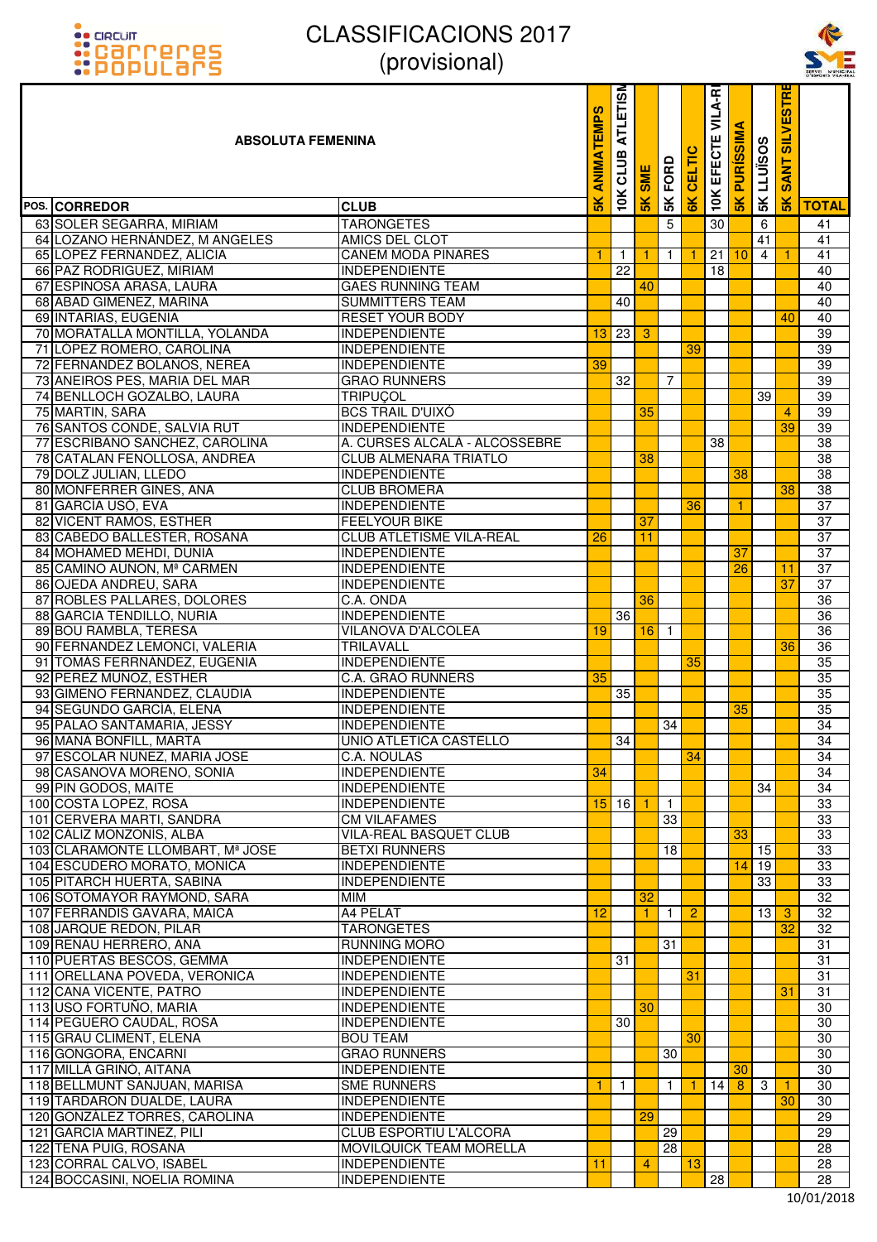



| <u> ::POPULArs</u>                                           | UUUUUUUU                                     |                |                 |              |                |               |                        |                      |                   |                                            | SERVEL MUNICIP  |
|--------------------------------------------------------------|----------------------------------------------|----------------|-----------------|--------------|----------------|---------------|------------------------|----------------------|-------------------|--------------------------------------------|-----------------|
| <b>ABSOLUTA FEMENINA</b>                                     |                                              |                |                 |              | FORD           | 高             | VILA-RI<br>ш<br>EFECTI | ৰ<br><b>PURISSIM</b> | <b>SK LLUISOS</b> | <b>SILVESTR</b><br><b>ANT</b><br><b>SO</b> |                 |
| POS. CORREDOR                                                | <b>CLUB</b>                                  | 5 <sub>K</sub> | 10K             | 5K           | 5K             | $\frac{1}{2}$ | <b>10K</b>             | $\frac{8}{5}$        |                   | 5K                                         | <b>TOTAL</b>    |
| 63 SOLER SEGARRA, MIRIAM                                     | <b>TARONGETES</b>                            |                |                 |              | $\overline{5}$ |               | 30                     |                      | 6                 |                                            | 41              |
| 64 LOZANO HERNÁNDEZ, M ANGELES                               | AMICS DEL CLOT                               |                |                 |              |                |               |                        |                      | 41                |                                            | 41              |
| 65 LOPEZ FERNANDEZ, ALICIA                                   | <b>CANEM MODA PINARES</b>                    | 1              | $\overline{1}$  |              | $\mathbf{1}$   |               | 21                     | 10                   | $\overline{4}$    | 1                                          | 41              |
| 66 PAZ RODRIGUEZ, MIRIAM                                     | <b>INDEPENDIENTE</b>                         |                | 22              |              |                |               | 18                     |                      |                   |                                            | 40              |
| 67 ESPINOSA ARASA, LAURA                                     | <b>GAES RUNNING TEAM</b>                     |                |                 | 40           |                |               |                        |                      |                   |                                            | 40              |
| 68 ABAD GIMENEZ, MARINA                                      | <b>SUMMITTERS TEAM</b>                       |                | 40              |              |                |               |                        |                      |                   |                                            | 40              |
| 69 INTARIAS, EUGENIA                                         | <b>RESET YOUR BODY</b>                       |                |                 |              |                |               |                        |                      |                   | 40                                         | 40              |
| 70 MORATALLA MONTILLA, YOLANDA                               | <b>INDEPENDIENTE</b>                         | 13             | $\overline{23}$ | -3           |                |               |                        |                      |                   |                                            | 39              |
| 71 LÓPEZ ROMERO, CAROLINA                                    | <b>INDEPENDIENTE</b><br><b>INDEPENDIENTE</b> | 39             |                 |              |                | 39            |                        |                      |                   |                                            | 39<br>39        |
| 72 FERNANDEZ BOLAÑOS, NEREA<br>73 ANEIROS PES, MARIA DEL MAR | <b>GRAO RUNNERS</b>                          |                | 32              |              | 7              |               |                        |                      |                   |                                            | 39              |
| 74 BENLLOCH GOZALBO, LAURA                                   | <b>TRIPUÇOL</b>                              |                |                 |              |                |               |                        |                      | 39                |                                            | 39              |
| 75 MARTIN, SARA                                              | <b>BCS TRAIL D'UIXÓ</b>                      |                |                 | 35           |                |               |                        |                      |                   | 4                                          | 39              |
| 76 SANTOS CONDE, SALVIA RUT                                  | <b>INDEPENDIENTE</b>                         |                |                 |              |                |               |                        |                      |                   | 39                                         | 39              |
| 77 ESCRIBANO SANCHEZ, CAROLINA                               | A. CURSES ALCALÀ - ALCOSSEBRE                |                |                 |              |                |               | 38                     |                      |                   |                                            | 38              |
| 78 CATALAN FENOLLOSA, ANDREA                                 | <b>CLUB ALMENARA TRIATLO</b>                 |                |                 | 38           |                |               |                        |                      |                   |                                            | $\overline{38}$ |
| 79 DOLZ JULIAN, LLEDO                                        | <b>INDEPENDIENTE</b>                         |                |                 |              |                |               |                        | 38                   |                   |                                            | 38              |
| 80 MONFERRER GINES, ANA                                      | <b>CLUB BROMERA</b>                          |                |                 |              |                |               |                        |                      |                   | 38                                         | 38              |
| 81 GARCÍA USÓ, EVA                                           | <b>INDEPENDIENTE</b>                         |                |                 |              |                | 36            |                        | 1.                   |                   |                                            | 37              |
| 82 VICENT RAMOS, ESTHER                                      | <b>FEELYOUR BIKE</b>                         |                |                 | 37           |                |               |                        |                      |                   |                                            | $\overline{37}$ |
| 83 CABEDO BALLESTER, ROSANA                                  | CLUB ATLETISME VILA-REAL                     | 26             |                 | 11           |                |               |                        |                      |                   |                                            | 37              |
| 84 MOHAMED MEHDI, DUNIA                                      | <b>INDEPENDIENTE</b>                         |                |                 |              |                |               |                        | 37                   |                   |                                            | 37              |
| 85 CAMINO AUÑON, Mª CARMEN                                   | <b>INDEPENDIENTE</b>                         |                |                 |              |                |               |                        | 26                   |                   | 11                                         | 37              |
| 86 OJEDA ANDREU, SARA                                        | <b>INDEPENDIENTE</b>                         |                |                 |              |                |               |                        |                      |                   | 37                                         | 37              |
| 87 ROBLES PALLARES, DOLORES                                  | C.A. ONDA                                    |                |                 | 36           |                |               |                        |                      |                   |                                            | $\overline{36}$ |
| 88 GARCIA TENDILLO, NURIA                                    | <b>INDEPENDIENTE</b>                         |                | 36              |              |                |               |                        |                      |                   |                                            | 36              |
| 89 BOU RAMBLA, TERESA                                        | VILANOVA D'ALCOLEA                           | 19             |                 | $16$ 1       |                |               |                        |                      |                   |                                            | $\overline{36}$ |
| 90 FERNANDEZ LEMONCI, VALERIA                                | <b>TRILAVALL</b>                             |                |                 |              |                |               |                        |                      |                   | 36                                         | $\overline{36}$ |
| 91 TOMÁS FERRNÁNDEZ, EUGENIA                                 | <b>INDEPENDIENTE</b>                         |                |                 |              |                | 35            |                        |                      |                   |                                            | 35              |
| 92 PEREZ MUÑOZ, ESTHER                                       | C.A. GRAO RUNNERS                            | 35             |                 |              |                |               |                        |                      |                   |                                            | 35              |
| 93 GIMENO FERNANDEZ, CLAUDIA                                 | <b>INDEPENDIENTE</b>                         |                | 35              |              |                |               |                        |                      |                   |                                            | 35              |
| 94 SEGUNDO GARCÍA, ELENA                                     | <b>INDEPENDIENTE</b>                         |                |                 |              |                |               |                        | 35                   |                   |                                            | 35              |
| 95 PALAO SANTAMARIA, JESSY                                   | <b>INDEPENDIENTE</b>                         |                |                 |              | 34             |               |                        |                      |                   |                                            | 34              |
| 96 MAÑÁ BONFILL, MARTA                                       | <b>UNIO ATLETICA CASTELLO</b>                |                | 34              |              |                |               |                        |                      |                   |                                            | 34              |
| 97 ESCOLAR NUNEZ, MARIA JOSE                                 | C.A. NOULAS                                  |                |                 |              |                | 34            |                        |                      |                   |                                            | 34              |
| 98 CASANOVA MORENO, SONIA                                    | <b>INDEPENDIENTE</b>                         | 34             |                 |              |                |               |                        |                      |                   |                                            | 34              |
| 99 PIN GODOS, MAITE                                          | <b>INDEPENDIENTE</b>                         |                |                 |              |                |               |                        |                      | 34                |                                            | 34              |
| 100 COSTA LOPEZ, ROSA                                        | <b>INDEPENDIENTE</b>                         |                | $15$ 16         | $\mathbf{1}$ | $\overline{1}$ |               |                        |                      |                   |                                            | 33              |
| 101 CERVERA MARTI, SANDRA                                    | <b>CM VILAFAMES</b>                          |                |                 |              | 33             |               |                        |                      |                   |                                            | 33              |
| 102 CÁLIZ MONZONÍS, ALBA                                     | VILA-REAL BASQUET CLUB                       |                |                 |              |                |               |                        | 33                   |                   |                                            | 33              |
| 103 CLARAMONTE LLOMBART, Mª JOSE                             | <b>BETXI RUNNERS</b>                         |                |                 |              | 18             |               |                        |                      | 15                |                                            | 33              |
| 104 ESCUDERO MORATO, MONICA                                  | <b>INDEPENDIENTE</b>                         |                |                 |              |                |               |                        | 14                   | 19                |                                            | 33              |
| 105 PITARCH HUERTA, SABINA                                   | <b>INDEPENDIENTE</b>                         |                |                 |              |                |               |                        |                      | 33                |                                            | 33              |
| 106 SOTOMAYOR RAYMOND, SARA<br>107 FERRANDIS GAVARA, MAICA   | <b>MIM</b><br>A4 PELAT                       |                |                 | 32           |                | 2             |                        |                      |                   | 3                                          | 32<br>32        |
| 108 JARQUE REDON, PILAR                                      | <b>TARONGETES</b>                            | 12             |                 | 1.           | $\mathbf{1}$   |               |                        |                      | 13                | 32                                         | 32              |
| 109 RENAU HERRERO, ANA                                       | <b>RUNNING MORO</b>                          |                |                 |              | 31             |               |                        |                      |                   |                                            | 31              |
| 110 PUERTAS BESCOS, GEMMA                                    | <b>INDEPENDIENTE</b>                         |                | 31              |              |                |               |                        |                      |                   |                                            | 31              |
| 111 ORELLANA POVEDA, VERONICA                                | INDEPENDIENTE                                |                |                 |              |                | 31            |                        |                      |                   |                                            | 31              |
| 112 CANA VICENTE, PATRO                                      | <b>INDEPENDIENTE</b>                         |                |                 |              |                |               |                        |                      |                   | 31                                         | 31              |
| 113 USO FORTUÑO, MARIA                                       | <b>INDEPENDIENTE</b>                         |                |                 | 30           |                |               |                        |                      |                   |                                            | 30              |
| 114 PEGUERO CAUDAL, ROSA                                     | <b>INDEPENDIENTE</b>                         |                | 30              |              |                |               |                        |                      |                   |                                            | 30              |
| 115 GRAU CLIMENT, ELENA                                      | <b>BOU TEAM</b>                              |                |                 |              |                | 30            |                        |                      |                   |                                            | 30              |
| 116 GONGORA, ENCARNI                                         | <b>GRAO RUNNERS</b>                          |                |                 |              | 30             |               |                        |                      |                   |                                            | 30              |
| 117 MILLÀ GRIÑÓ, AITANA                                      | <b>INDEPENDIENTE</b>                         |                |                 |              |                |               |                        | 30                   |                   |                                            | 30              |
| 118 BELLMUNT SANJUAN, MARISA                                 | <b>SME RUNNERS</b>                           | 1              | $\mathbf{1}$    |              | 1              |               | 14                     | 8                    | 3                 | 1                                          | 30              |
| 119 TARDARON DUALDE, LAURA                                   | <b>INDEPENDIENTE</b>                         |                |                 |              |                |               |                        |                      |                   | 30                                         | 30              |
| 120 GONZALEZ TORRES, CAROLINA                                | <b>INDEPENDIENTE</b>                         |                |                 | 29           |                |               |                        |                      |                   |                                            | 29              |
| 121 GARCIA MARTINEZ, PILI                                    | CLUB ESPORTIU L'ALCORA                       |                |                 |              | 29             |               |                        |                      |                   |                                            | 29              |
| 122 TENA PUIG, ROSANA                                        | MOVILQUICK TEAM MORELLA                      |                |                 |              | 28             |               |                        |                      |                   |                                            | 28              |
| 123 CORRAL CALVO, ISABEL                                     | <b>INDEPENDIENTE</b>                         | 11             |                 | 4            |                | 13            |                        |                      |                   |                                            | 28              |
| 124 BOCCASINI, NOELIA ROMINA                                 | <b>INDEPENDIENTE</b>                         |                |                 |              |                |               | $\overline{28}$        |                      |                   |                                            | 28              |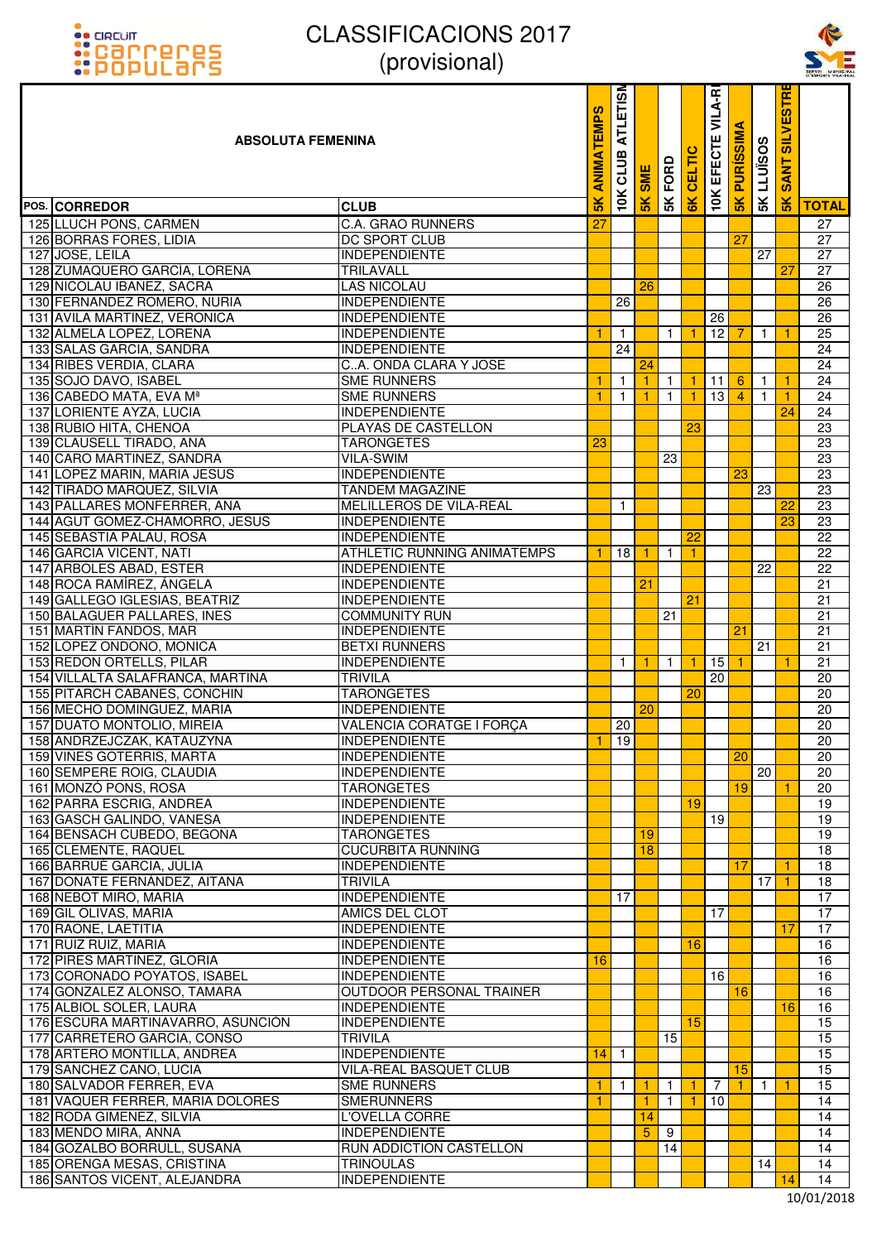



| <u> ::POPULArs</u>                                           | <i>(provisional)</i>                                    |                   |                         |               |              |                |                        |                      |              |                                    | SERVEL MUNICH   |
|--------------------------------------------------------------|---------------------------------------------------------|-------------------|-------------------------|---------------|--------------|----------------|------------------------|----------------------|--------------|------------------------------------|-----------------|
| <b>ABSOLUTA FEMENINA</b>                                     |                                                         | <b>ANIMATEMPS</b> | <b>ATLETISM</b><br>CLUB | <b>SME</b>    | FORD         | 高              | VILA-RI<br>Ш<br>EFECTI | ⋖<br><b>PURISSIM</b> | 5K LLUISOS   | <b>SILVESTR</b><br><b>ANT</b><br>Ŵ |                 |
| POS. CORREDOR                                                | <b>CLUB</b>                                             | $\frac{2}{5}$     | 10K                     | $\frac{1}{2}$ | 5K           | $\frac{8}{10}$ | <b>10K</b>             | 5K                   |              | $\frac{1}{2}$                      | <b>TOTAL</b>    |
| 125 LLUCH PONS, CARMEN                                       | <b>C.A. GRAO RUNNERS</b>                                | 27                |                         |               |              |                |                        |                      |              |                                    | 27              |
| 126 BORRAS FORES, LIDIA                                      | <b>DC SPORT CLUB</b>                                    |                   |                         |               |              |                |                        | 27                   |              |                                    | 27              |
| 127 JOSE, LEILA                                              | <b>INDEPENDIENTE</b>                                    |                   |                         |               |              |                |                        |                      | 27           |                                    | 27              |
| 128 ZUMAQUERO GARCÍA, LORENA                                 | <b>TRILAVALL</b>                                        |                   |                         |               |              |                |                        |                      |              | 27                                 | 27              |
| 129 NICOLAU IBAÑEZ, SACRA                                    | <b>LAS NICOLAU</b>                                      |                   |                         | 26            |              |                |                        |                      |              |                                    | 26              |
| 130 FERNANDEZ ROMERO, NURIA                                  | <b>INDEPENDIENTE</b>                                    |                   | 26                      |               |              |                |                        |                      |              |                                    | 26              |
| 131 AVILA MARTINEZ, VERONICA                                 | <b>INDEPENDIENTE</b>                                    |                   |                         |               |              |                | 26                     |                      |              |                                    | 26              |
| 132 ALMELA LOPEZ, LORENA                                     | <b>INDEPENDIENTE</b>                                    | 1                 | $\mathbf{1}$            |               | $\mathbf{1}$ | -1             | 12                     | 7                    | $\mathbf{1}$ | $\mathbf{1}$                       | 25              |
| 133 SALAS GARCIA, SANDRA                                     | <b>INDEPENDIENTE</b>                                    |                   | 24                      |               |              |                |                        |                      |              |                                    | 24              |
| 134 RIBES VERDIA, CLARA                                      | CA. ONDA CLARA Y JOSE                                   |                   |                         | 24            |              |                |                        |                      |              |                                    | 24              |
| 135 SOJO DAVO, ISABEL                                        | <b>SME RUNNERS</b>                                      | 1                 | $\overline{1}$          |               | $\mathbf{1}$ | -1             | 11                     | $6\phantom{1}6$      | $\mathbf{1}$ | 1                                  | 24              |
| 136 CABEDO MATA, EVA Mª                                      | <b>SME RUNNERS</b>                                      | $\overline{1}$    | $\mathbf{1}$            | 1             | $\mathbf{1}$ | -1             | $\overline{13}$        | $\overline{4}$       | $\mathbf{1}$ | $\mathbf{1}$                       | $\overline{24}$ |
| 137 LORIENTE AYZA, LUCIA                                     | <b>INDEPENDIENTE</b>                                    |                   |                         |               |              |                |                        |                      |              | 24                                 | 24              |
| 138 RUBIO HITA, CHENOA                                       | PLAYAS DE CASTELLON                                     |                   |                         |               |              | 23             |                        |                      |              |                                    | 23              |
| 139 CLAUSELL TIRADO, ANA                                     | <b>TARONGETES</b>                                       | 23                |                         |               |              |                |                        |                      |              |                                    | 23              |
| 140 CARO MARTINEZ, SANDRA                                    | <b>VILA-SWIM</b>                                        |                   |                         |               | 23           |                |                        |                      |              |                                    | 23              |
| 141 LOPEZ MARIN, MARIA JESUS                                 | <b>INDEPENDIENTE</b>                                    |                   |                         |               |              |                |                        | 23                   |              |                                    | $\overline{23}$ |
| 142 TIRADO MARQUEZ, SILVIA                                   | <b>TANDEM MAGAZINE</b>                                  |                   |                         |               |              |                |                        |                      | 23           |                                    | 23              |
| 143 PALLARES MONFERRER, ANA                                  | MELILLEROS DE VILA-REAL                                 |                   | $\mathbf{1}$            |               |              |                |                        |                      |              | 22                                 | 23              |
| 144 AGUT GOMEZ-CHAMORRO, JESUS                               | <b>INDEPENDIENTE</b>                                    |                   |                         |               |              |                |                        |                      |              | 23                                 | 23              |
| 145 SEBASTIA PALAU, ROSA                                     | <b>INDEPENDIENTE</b>                                    |                   |                         |               |              | 22             |                        |                      |              |                                    | 22              |
| 146 GARCIA VICENT, NATI                                      | ATHLETIC RUNNING ANIMATEMPS                             |                   | 18                      | 1             | -1           | -1             |                        |                      |              |                                    | 22              |
| 147 ARBOLES ABAD, ESTER<br>148 ROCA RAMÍREZ, ÁNGELA          | INDEPENDIENTE<br><b>INDEPENDIENTE</b>                   |                   |                         | 21            |              |                |                        |                      | 22           |                                    | 22<br>21        |
| 149 GALLEGO IGLESIAS, BEATRIZ                                | <b>INDEPENDIENTE</b>                                    |                   |                         |               |              | 21             |                        |                      |              |                                    | 21              |
| 150 BALAGUER PALLARES, INES                                  | <b>COMMUNITY RUN</b>                                    |                   |                         |               | 21           |                |                        |                      |              |                                    | 21              |
| 151 MARTÍN FANDOS, MAR                                       | INDEPENDIENTE                                           |                   |                         |               |              |                |                        | 21                   |              |                                    | 21              |
| 152 LOPEZ ONDOÑO, MONICA                                     | <b>BETXI RUNNERS</b>                                    |                   |                         |               |              |                |                        |                      | 21           |                                    | 21              |
| 153 REDON ORTELLS, PILAR                                     | <b>INDEPENDIENTE</b>                                    |                   | $\mathbf{1}$            |               | $\mathbf{1}$ |                | 15                     |                      |              | 1                                  | 21              |
| 154 VILLALTA SALAFRANCA, MARTINA                             | <b>TRIVILA</b>                                          |                   |                         |               |              |                | 20                     |                      |              |                                    | 20              |
| 155 PITARCH CABANES, CONCHIN                                 | <b>TARONGETES</b>                                       |                   |                         |               |              | 20             |                        |                      |              |                                    | 20              |
| 156 MECHO DOMINGUEZ, MARIA                                   | <b>INDEPENDIENTE</b>                                    |                   |                         | 20            |              |                |                        |                      |              |                                    | 20              |
| 157 DUATO MONTOLIO, MIREIA                                   | <b>VALENCIA CORATGE I FORÇA</b>                         |                   | 20                      |               |              |                |                        |                      |              |                                    | $20\degree$     |
| 158 ANDRZEJCZAK, KATAUZYNA                                   | <b>INDEPENDIENTE</b>                                    | 1                 | 19                      |               |              |                |                        |                      |              |                                    | 20              |
| 159 VIÑES GOTERRIS, MARTA                                    | <b>INDEPENDIENTE</b>                                    |                   |                         |               |              |                |                        | 20                   |              |                                    | 20              |
| 160 SEMPERE ROIG, CLAUDIA                                    | <b>INDEPENDIENTE</b>                                    |                   |                         |               |              |                |                        |                      | 20           |                                    | 20              |
| 161 MONZÓ PONS, ROSA                                         | <b>TARONGETES</b>                                       |                   |                         |               |              |                |                        | 19                   |              | -1                                 | 20              |
| 162 PARRA ESCRIG, ANDREA                                     | <b>INDEPENDIENTE</b>                                    |                   |                         |               |              | 19             |                        |                      |              |                                    | 19              |
| 163 GASCH GALINDO, VANESA                                    | <b>INDEPENDIENTE</b>                                    |                   |                         |               |              |                | 19                     |                      |              |                                    | 19              |
| 164 BENSACH CUBEDO, BEGOÑA                                   | <b>TARONGETES</b>                                       |                   |                         | 19            |              |                |                        |                      |              |                                    | 19              |
| 165 CLEMENTE, RAQUEL                                         | <b>CUCURBITA RUNNING</b>                                |                   |                         | 18            |              |                |                        |                      |              |                                    | 18              |
| 166 BARRUÉ GARCIA, JÚLIA                                     | <b>INDEPENDIENTE</b>                                    |                   |                         |               |              |                |                        | 17                   |              | 1                                  | 18              |
| 167 DOÑATE FERNÁNDEZ, AITANA                                 | <b>TRIVILA</b>                                          |                   |                         |               |              |                |                        |                      | 17           | 1                                  | 18              |
| 168 NEBOT MIRO, MARIA                                        | <b>INDEPENDIENTE</b>                                    |                   | 17                      |               |              |                |                        |                      |              |                                    | $\overline{17}$ |
| 169 GIL OLIVAS, MARIA                                        | AMICS DEL CLOT                                          |                   |                         |               |              |                | 17                     |                      |              |                                    | 17              |
| 170 RAONE, LAETITIA                                          | <b>INDEPENDIENTE</b>                                    |                   |                         |               |              |                |                        |                      |              | 17                                 | 17              |
| 171 RUIZ RUIZ, MARIA                                         | <b>INDEPENDIENTE</b>                                    |                   |                         |               |              | 16             |                        |                      |              |                                    | 16              |
| 172 PIRES MARTINEZ, GLORIA                                   | <b>INDEPENDIENTE</b>                                    | 16                |                         |               |              |                |                        |                      |              |                                    | 16              |
| 173 CORONADO POYATOS, ISABEL                                 | <b>INDEPENDIENTE</b><br><b>OUTDOOR PERSONAL TRAINER</b> |                   |                         |               |              |                | 16                     |                      |              |                                    | 16              |
| 174 GONZALEZ ALONSO, TAMARA                                  |                                                         |                   |                         |               |              |                |                        | 16                   |              |                                    | 16              |
| 175 ALBIOL SOLER, LAURA<br>176 ESCURA MARTINAVARRO, ASUNCIÓN | <b>INDEPENDIENTE</b><br><b>INDEPENDIENTE</b>            |                   |                         |               |              | 15             |                        |                      |              | 16                                 | 16<br>15        |
| 177 CARRETERO GARCIA, CONSO                                  | <b>TRIVILA</b>                                          |                   |                         |               | 15           |                |                        |                      |              |                                    | 15              |
| 178 ARTERO MONTILLA, ANDREA                                  | <b>INDEPENDIENTE</b>                                    | 14                | $\overline{1}$          |               |              |                |                        |                      |              |                                    | 15              |
| 179 SANCHEZ CANO, LUCIA                                      | VILA-REAL BASQUET CLUB                                  |                   |                         |               |              |                |                        | 15                   |              |                                    | 15              |
| 180 SALVADOR FERRER, EVA                                     | <b>SME RUNNERS</b>                                      | 1                 | $\mathbf{1}$            | 1             | $\mathbf{1}$ | -1             | $\overline{7}$         | 1.                   | $\mathbf{1}$ | $\mathbf{1}$                       | 15              |
| 181 VAQUER FERRER, MARIA DOLORES                             | <b>SMERUNNERS</b>                                       | 1                 |                         | 1             | 1            |                | 10                     |                      |              |                                    | 14              |
| 182 RODA GIMENEZ, SILVIA                                     | L'OVELLA CORRE                                          |                   |                         | 14            |              |                |                        |                      |              |                                    | 14              |
| 183 MENDO MIRA, ANNA                                         | <b>INDEPENDIENTE</b>                                    |                   |                         | 5             | 9            |                |                        |                      |              |                                    | 14              |
| 184 GOZALBO BORRULL, SUSANA                                  | RUN ADDICTION CASTELLON                                 |                   |                         |               | 14           |                |                        |                      |              |                                    | 14              |
| 185 ORENGA MESAS, CRISTINA                                   | <b>TRINOULAS</b>                                        |                   |                         |               |              |                |                        |                      | 14           |                                    | 14              |
| 186 SANTOS VICENT, ALEJANDRA                                 | <b>INDEPENDIENTE</b>                                    |                   |                         |               |              |                |                        |                      |              | 14                                 | 14              |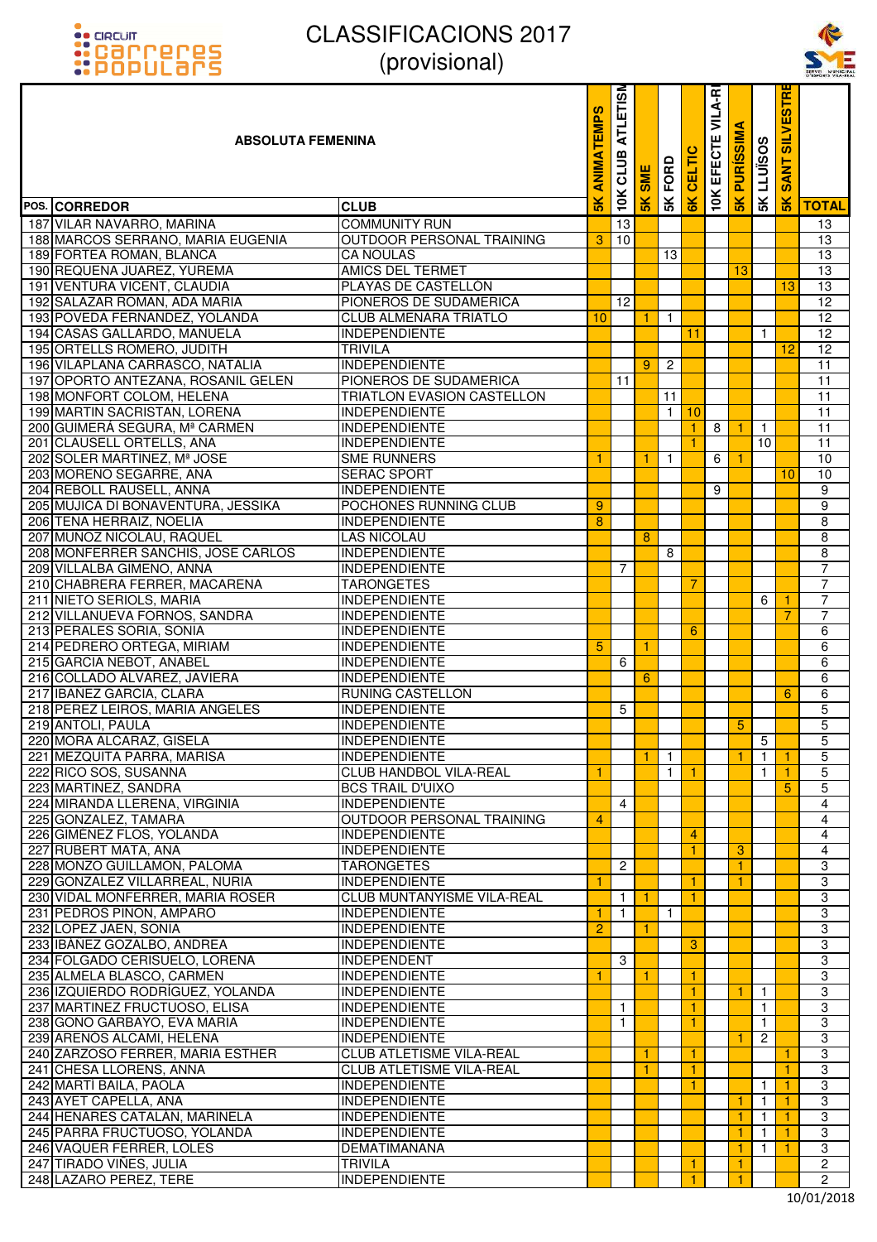



| <b>::</b> POPULƏMS                 | UUUUUUUU                          |                   |                                |               |                |                 |                                            |                      |                   |                                                | SERVEL MUNICIE |
|------------------------------------|-----------------------------------|-------------------|--------------------------------|---------------|----------------|-----------------|--------------------------------------------|----------------------|-------------------|------------------------------------------------|----------------|
| <b>ABSOLUTA FEMENINA</b>           |                                   | <b>ANIMATEMPS</b> | <b>ATLETISM</b><br>CLUB<br>10K | SME           | FORD           | ELT             | <b>VILA-R</b><br>ш<br>EFECTI<br><b>10K</b> | ৰ<br><b>PURISSIM</b> | <b>SK LLUISOS</b> | <b>ESTRI</b><br><b>NTIS</b><br><b>ANT</b><br>Ø |                |
| POS. CORREDOR                      | <b>CLUB</b>                       | $\frac{8}{10}$    |                                | $\frac{1}{2}$ | 5K             | 6K              |                                            | 5K                   |                   | 5K                                             | <b>TOTAL</b>   |
| 187 VILAR NAVARRO, MARINA          | <b>COMMUNITY RUN</b>              |                   | 13                             |               |                |                 |                                            |                      |                   |                                                | 13             |
| 188 MARCOS SERRANO, MARIA EUGENIA  | <b>OUTDOOR PERSONAL TRAINING</b>  | 3                 | 10                             |               |                |                 |                                            |                      |                   |                                                | 13             |
| 189 FORTEA ROMAN, BLANCA           | <b>CA NOULAS</b>                  |                   |                                |               | 13             |                 |                                            |                      |                   |                                                | 13             |
| 190 REQUENA JUAREZ, YUREMA         | <b>AMICS DEL TERMET</b>           |                   |                                |               |                |                 |                                            | 13                   |                   |                                                | 13             |
| 191 VENTURA VICENT, CLAUDIA        | PLAYAS DE CASTELLÓN               |                   |                                |               |                |                 |                                            |                      |                   | 13                                             | 13             |
| 192 SALAZAR ROMAN, ADA MARIA       | PIONEROS DE SUDAMERICA            |                   | 12                             |               |                |                 |                                            |                      |                   |                                                | 12             |
| 193 POVEDA FERNANDEZ, YOLANDA      | <b>CLUB ALMENARA TRIATLO</b>      | 10 <sup>°</sup>   |                                | 1             | $\mathbf{1}$   |                 |                                            |                      |                   |                                                | 12             |
| 194 CASAS GALLARDO, MANUELA        | <b>INDEPENDIENTE</b>              |                   |                                |               |                | 11              |                                            |                      | $\mathbf{1}$      |                                                | 12             |
| 195 ORTELLS ROMERO, JUDITH         | <b>TRIVILA</b>                    |                   |                                |               |                |                 |                                            |                      |                   | 12                                             | 12             |
| 196 VILAPLANA CARRASCO, NATALIA    | <b>INDEPENDIENTE</b>              |                   |                                | 9             | $\overline{c}$ |                 |                                            |                      |                   |                                                | 11             |
| 197 OPORTO ANTEZANA, ROSANIL GELEN | PIONEROS DE SUDAMERICA            |                   | 11                             |               |                |                 |                                            |                      |                   |                                                | 11             |
| 198 MONFORT COLOM, HELENA          | <b>TRIATLON EVASION CASTELLON</b> |                   |                                |               | 11             |                 |                                            |                      |                   |                                                | 11             |
| 199 MARTIN SACRISTAN, LORENA       | <b>INDEPENDIENTE</b>              |                   |                                |               | $\mathbf{1}$   | 10              |                                            |                      |                   |                                                | 11             |
| 200 GUIMERÁ SEGURA, Mª CARMEN      | <b>INDEPENDIENTE</b>              |                   |                                |               |                | $\mathbf{1}$    | 8                                          | $\mathbf{1}$         | $\mathbf{1}$      |                                                | 11             |
| 201 CLAUSELL ORTELLS, ANA          | <b>INDEPENDIENTE</b>              |                   |                                |               |                | 1               |                                            |                      | 10                |                                                | 11             |
| 202 SOLER MARTINEZ, Mª JOSE        | <b>SME RUNNERS</b>                | $\mathbf{1}$      |                                | 1             | $\mathbf{1}$   |                 | 6                                          | 1.                   |                   |                                                | 10             |
| 203 MORENO SEGARRE, ANA            | <b>SERAC SPORT</b>                |                   |                                |               |                |                 |                                            |                      |                   | 10                                             | 10             |
| 204 REBOLL RAUSELL, ANNA           | <b>INDEPENDIENTE</b>              |                   |                                |               |                |                 | 9                                          |                      |                   |                                                | 9              |
| 205 MUJICA DI BONAVENTURA, JESSIKA | POCHONES RUNNING CLUB             | 9                 |                                |               |                |                 |                                            |                      |                   |                                                | 9              |
| 206 TENA HERRAIZ, NOELIA           | <b>INDEPENDIENTE</b>              | 8                 |                                |               |                |                 |                                            |                      |                   |                                                | 8              |
| 207 MUÑOZ NICOLAU, RAQUEL          | <b>LAS NICOLAU</b>                |                   |                                | 8             |                |                 |                                            |                      |                   |                                                | 8              |
| 208 MONFERRER SANCHIS, JOSE CARLOS | <b>INDEPENDIENTE</b>              |                   |                                |               | 8              |                 |                                            |                      |                   |                                                | 8              |
| 209 VILLALBA GIMENO, ANNA          | <b>INDEPENDIENTE</b>              |                   | 7                              |               |                |                 |                                            |                      |                   |                                                | $\overline{7}$ |
| 210 CHABRERA FERRER, MACARENA      | <b>TARONGETES</b>                 |                   |                                |               |                | 7               |                                            |                      |                   |                                                | $\overline{7}$ |
| 211 NIETO SERIOLS, MARIA           | <b>INDEPENDIENTE</b>              |                   |                                |               |                |                 |                                            |                      | 6                 | $\mathbf{1}$                                   | $\overline{7}$ |
| 212 VILLANUEVA FORNOS, SANDRA      | <b>INDEPENDIENTE</b>              |                   |                                |               |                |                 |                                            |                      |                   | 7                                              | $\overline{7}$ |
| 213 PERALES SORIA, SONIA           | <b>INDEPENDIENTE</b>              |                   |                                |               |                | $6\phantom{1}6$ |                                            |                      |                   |                                                | 6              |
| 214 PEDRERO ORTEGA, MIRIAM         | <b>INDEPENDIENTE</b>              | 5                 |                                |               |                |                 |                                            |                      |                   |                                                | $\overline{6}$ |
| 215 GARCIA NEBOT, ANABEL           | <b>INDEPENDIENTE</b>              |                   | 6                              |               |                |                 |                                            |                      |                   |                                                | 6              |
| 216 COLLADO ÁLVAREZ, JAVIERA       | <b>INDEPENDIENTE</b>              |                   |                                | 6             |                |                 |                                            |                      |                   |                                                | 6              |
| 217 IBAÑEZ GARCIA, CLARA           | RUNING CASTELLON                  |                   |                                |               |                |                 |                                            |                      |                   | 6                                              | 6              |
| 218 PEREZ LEIROS, MARIA ANGELES    | <b>INDEPENDIENTE</b>              |                   | 5                              |               |                |                 |                                            |                      |                   |                                                | 5              |
| 219 ANTOLI, PAULA                  | <b>INDEPENDIENTE</b>              |                   |                                |               |                |                 |                                            | 5 <sup>5</sup>       |                   |                                                | 5              |
| 220 MORA ALCARAZ, GISELA           | <b>INDEPENDIENTE</b>              |                   |                                |               |                |                 |                                            |                      | 5                 |                                                | 5              |
| 221 MEZQUITA PARRA, MARISA         | <b>INDEPENDIENTE</b>              |                   |                                | $\mathbf{1}$  | $\overline{1}$ |                 |                                            | 1.                   | $\mathbf{1}$      | 1.                                             | 5              |
| 222 RICO SOS, SUSANNA              | CLUB HANDBOL VILA-REAL            | 1                 |                                |               | $\mathbf{1}$   | $\mathbf{1}$    |                                            |                      | 1                 | 1                                              | 5              |
| 223 MARTINEZ, SANDRA               | <b>BCS TRAIL D'UIXO</b>           |                   |                                |               |                |                 |                                            |                      |                   | 5                                              | 5              |
| 224 MIRANDA LLERENA, VIRGINIA      | <b>INDEPENDIENTE</b>              |                   | $\overline{4}$                 |               |                |                 |                                            |                      |                   |                                                | 4              |
| 225 GONZALEZ, TAMARA               | <b>OUTDOOR PERSONAL TRAINING</b>  | $\overline{4}$    |                                |               |                |                 |                                            |                      |                   |                                                | 4              |
| 226 GIMÉNEZ FLOS, YOLANDA          | <b>INDEPENDIENTE</b>              |                   |                                |               |                | 4               |                                            |                      |                   |                                                | 4              |
| 227 RUBERT MATA, ANA               | <b>INDEPENDIENTE</b>              |                   |                                |               |                |                 |                                            | 3                    |                   |                                                | 4              |
| 228 MONZO GUILLAMON, PALOMA        | <b>TARONGETES</b>                 |                   | $\overline{c}$                 |               |                |                 |                                            | $\mathbf{1}$         |                   |                                                | 3              |
| 229 GONZALEZ VILLARREAL, NURIA     | <b>INDEPENDIENTE</b>              | 1                 |                                |               |                | 1               |                                            | 1.                   |                   |                                                | $\overline{3}$ |
| 230 VIDAL MONFERRER, MARIA ROSER   | CLUB MUNTANYISME VILA-REAL        |                   | $\mathbf{1}$                   | 1.            |                | $\mathbf{1}$    |                                            |                      |                   |                                                | 3              |
| 231 PEDROS PIÑON, AMPARO           | <b>INDEPENDIENTE</b>              | $\mathbf{1}$      | $\mathbf{1}$                   |               | $\mathbf{1}$   |                 |                                            |                      |                   |                                                | 3              |
| 232 LOPEZ JAEN, SONIA              | <b>INDEPENDIENTE</b>              | $\overline{2}$    |                                |               |                |                 |                                            |                      |                   |                                                | 3              |
| 233 IBÁÑEZ GOZALBO, ANDREA         | <b>INDEPENDIENTE</b>              |                   |                                |               |                | 3               |                                            |                      |                   |                                                | 3              |
| 234 FOLGADO CERISUELO, LORENA      | <b>INDEPENDENT</b>                |                   | 3                              |               |                |                 |                                            |                      |                   |                                                | 3              |
| 235 ALMELA BLASCO, CARMEN          | <b>INDEPENDIENTE</b>              | $\mathbf{1}$      |                                | 1.            |                | $\mathbf{1}$    |                                            |                      |                   |                                                | 3              |
| 236 IZQUIERDO RODRÍGUEZ, YOLANDA   | <b>INDEPENDIENTE</b>              |                   |                                |               |                | $\mathbf{1}$    |                                            | 1.                   | $\mathbf{1}$      |                                                | $\overline{3}$ |
| 237 MARTINEZ FRUCTUOSO, ELISA      | <b>INDEPENDIENTE</b>              |                   | $\mathbf{1}$                   |               |                | 1               |                                            |                      | $\mathbf{1}$      |                                                | 3              |
| 238 GOÑO GARBAYO, EVA MARIA        | <b>INDEPENDIENTE</b>              |                   | $\mathbf{1}$                   |               |                | $\mathbf{1}$    |                                            |                      | $\mathbf{1}$      |                                                | 3              |
| 239 ARENÓS ALCAMI, HELENA          | <b>INDEPENDIENTE</b>              |                   |                                |               |                |                 |                                            |                      | 2                 |                                                | 3              |
| 240 ZARZOSO FERRER, MARIA ESTHER   | CLUB ATLETISME VILA-REAL          |                   |                                |               |                | 1               |                                            |                      |                   | 1                                              | 3              |
| 241 CHESA LLORENS, ANNA            | CLUB ATLETISME VILA-REAL          |                   |                                | 1             |                | $\mathbf{1}$    |                                            |                      |                   | $\mathbf{1}$                                   | 3              |
| 242 MARTÍ BAILA, PAOLA             | <b>INDEPENDIENTE</b>              |                   |                                |               |                | 1.              |                                            |                      | $\mathbf{1}$      | 1                                              | 3              |
| 243 AYET CAPELLA, ANA              | <b>INDEPENDIENTE</b>              |                   |                                |               |                |                 |                                            |                      | 1                 | 1.                                             | 3              |
| 244 HENARES CATALÁN, MARINELA      | <b>INDEPENDIENTE</b>              |                   |                                |               |                |                 |                                            |                      | 1                 | 1                                              | 3              |
| 245 PARRA FRUCTUOSO, YOLANDA       | <b>INDEPENDIENTE</b>              |                   |                                |               |                |                 |                                            |                      | 1                 |                                                | 3              |
| 246 VAQUER FERRER, LOLES           | DEMATIMAÑANA                      |                   |                                |               |                |                 |                                            | 1.                   | $\mathbf 1$       | $\mathbf{1}$                                   | 3              |
| 247 TIRADO VIÑES, JULIA            | <b>TRIVILA</b>                    |                   |                                |               |                | 1               |                                            | 1.                   |                   |                                                | $\overline{c}$ |
| 248 LAZARO PEREZ, TERE             | <b>INDEPENDIENTE</b>              |                   |                                |               |                | 1               |                                            | $\mathbf{1}$         |                   |                                                | $\mathbf{2}$   |
|                                    |                                   |                   |                                |               |                |                 |                                            |                      |                   |                                                |                |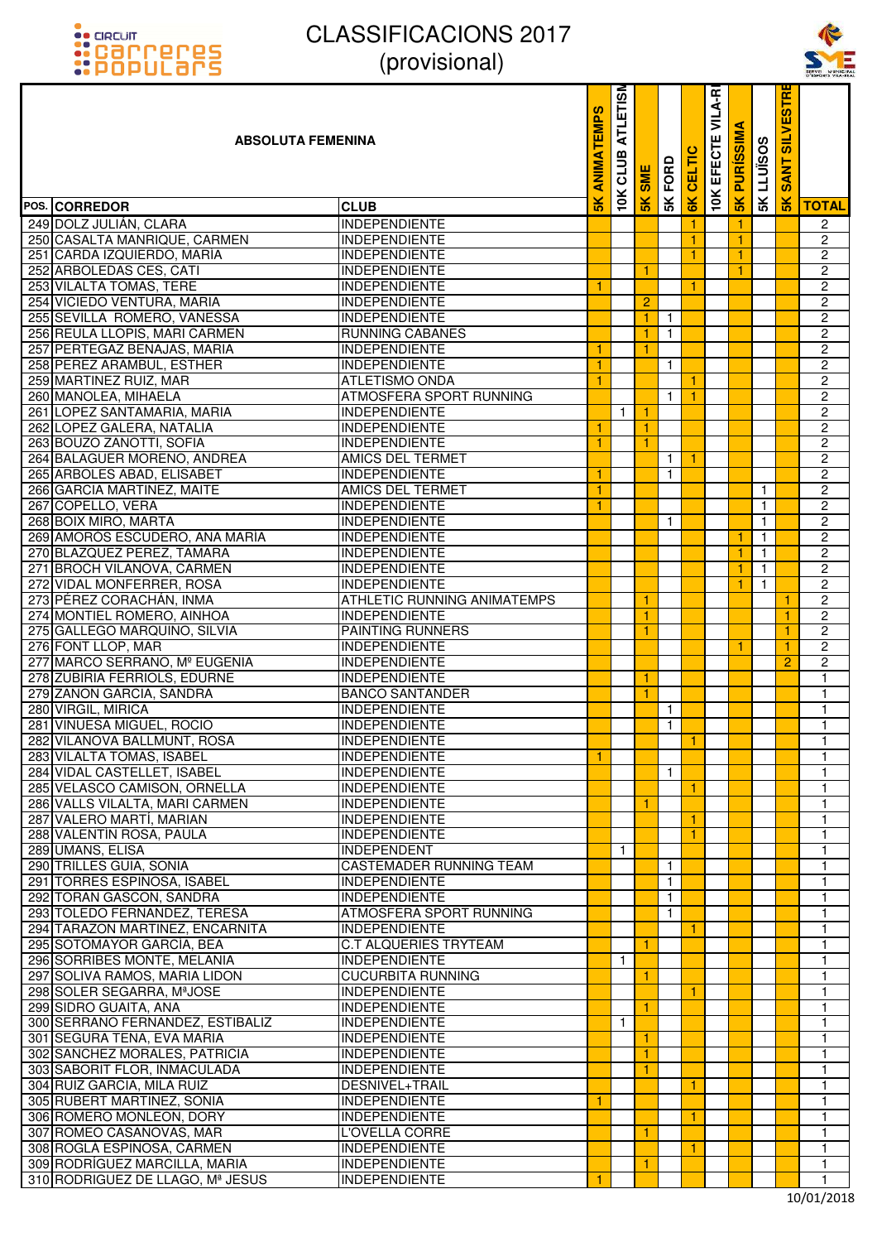



| <b>::</b> POPULƏMS                                            | $\mu$ luuvisiuriai                              |                   |                         |                     |                |                      |                        |                      |                              |                                            | SERVEI MUNICH                           |
|---------------------------------------------------------------|-------------------------------------------------|-------------------|-------------------------|---------------------|----------------|----------------------|------------------------|----------------------|------------------------------|--------------------------------------------|-----------------------------------------|
| <b>ABSOLUTA FEMENINA</b>                                      |                                                 | <b>ANIMATEMPS</b> | <b>ATLETISM</b><br>CLUB | <b>SME</b>          | FORD           | 高                    | VILA-RI<br>ш<br>EFECTI | ⋖<br><b>PURISSIM</b> | <b>SK LLUISOS</b>            | <b>SILVESTR</b><br><b>ANT</b><br><b>SO</b> |                                         |
| POS. CORREDOR                                                 | <b>CLUB</b>                                     | $\frac{8}{10}$    | 10K                     | 5K                  | 5K             | 6K                   | 10K                    | <b>5K</b>            |                              | $\frac{1}{2}$                              | <b>TOTAL</b>                            |
| 249 DOLZ JULIÁN, CLARA                                        | <b>INDEPENDIENTE</b>                            |                   |                         |                     |                | $\mathbf{1}$         |                        | 1.                   |                              |                                            | 2                                       |
| 250 CASALTA MANRIQUE, CARMEN                                  | <b>INDEPENDIENTE</b>                            |                   |                         |                     |                | 1                    |                        | 1.                   |                              |                                            | $\overline{c}$                          |
| 251 CARDA IZQUIERDO, MARÍA                                    | <b>INDEPENDIENTE</b>                            |                   |                         |                     |                | $\blacktriangleleft$ |                        | 1                    |                              |                                            | $\overline{c}$                          |
| 252 ARBOLEDAS CES, CATI                                       | <b>INDEPENDIENTE</b>                            |                   |                         |                     |                |                      |                        | 1.                   |                              |                                            | $\overline{c}$                          |
| 253 VILALTA TOMAS, TERE                                       | <b>INDEPENDIENTE</b>                            | 1                 |                         |                     |                | 1                    |                        |                      |                              |                                            | $\overline{\mathbf{c}}$                 |
| 254 VICIEDO VENTURA, MARIA<br>255 SEVILLA ROMERO, VANESSA     | <b>INDEPENDIENTE</b><br><b>INDEPENDIENTE</b>    |                   |                         | $\overline{2}$<br>1 | $\overline{1}$ |                      |                        |                      |                              |                                            | $\overline{2}$<br>$\overline{2}$        |
| 256 REULA LLOPIS, MARI CARMEN                                 | <b>RUNNING CABANES</b>                          |                   |                         | 1                   | $\mathbf{1}$   |                      |                        |                      |                              |                                            | $\overline{\mathbf{c}}$                 |
| 257 PERTEGAZ BENAJAS, MARIA                                   | <b>INDEPENDIENTE</b>                            | -1                |                         | 1.                  |                |                      |                        |                      |                              |                                            | 2                                       |
| 258 PEREZ ARAMBUL, ESTHER                                     | <b>INDEPENDIENTE</b>                            | 1                 |                         |                     | $\mathbf{1}$   |                      |                        |                      |                              |                                            | $\overline{c}$                          |
| 259 MARTINEZ RUIZ, MAR                                        | ATLETISMO ONDA                                  | 1                 |                         |                     |                | $\mathbf{1}$         |                        |                      |                              |                                            | $\overline{c}$                          |
| 260 MANOLEA, MIHAELA                                          | <b>ATMOSFERA SPORT RUNNING</b>                  |                   |                         |                     | $\mathbf{1}$   | $\mathbf{1}$         |                        |                      |                              |                                            | $\overline{2}$                          |
| 261 LOPEZ SANTAMARIA, MARIA                                   | <b>INDEPENDIENTE</b>                            |                   | $\mathbf{1}$            | -1                  |                |                      |                        |                      |                              |                                            | $\overline{c}$                          |
| 262 LOPEZ GALERA, NATALIA                                     | <b>INDEPENDIENTE</b>                            | $\overline{1}$    |                         | 1                   |                |                      |                        |                      |                              |                                            | $\overline{c}$                          |
| 263 BOUZO ZANOTTI, SOFIA                                      | <b>INDEPENDIENTE</b>                            | 1                 |                         |                     |                |                      |                        |                      |                              |                                            | $\overline{2}$                          |
| 264 BALAGUER MORENO, ANDREA                                   | <b>AMICS DEL TERMET</b>                         |                   |                         |                     | $\mathbf{1}$   | $\blacktriangleleft$ |                        |                      |                              |                                            | $\overline{2}$                          |
| 265 ARBOLES ABAD, ELISABET                                    | <b>INDEPENDIENTE</b>                            | 1                 |                         |                     | $\mathbf{1}$   |                      |                        |                      |                              |                                            | $\overline{\mathbf{c}}$                 |
| 266 GARCIA MARTINEZ, MAITE<br>267 COPELLO, VERA               | <b>AMICS DEL TERMET</b><br><b>INDEPENDIENTE</b> | 1<br>1            |                         |                     |                |                      |                        |                      | $\mathbf{1}$<br>$\mathbf{1}$ |                                            | $\overline{c}$<br>$\overline{2}$        |
| 268 BOIX MIRO, MARTA                                          | <b>INDEPENDIENTE</b>                            |                   |                         |                     | $\mathbf{1}$   |                      |                        |                      | $\mathbf{1}$                 |                                            | $\overline{c}$                          |
| 269 AMORÓS ESCUDERO, ANA MARÍA                                | <b>INDEPENDIENTE</b>                            |                   |                         |                     |                |                      |                        | 1.                   | $\mathbf{1}$                 |                                            | 2                                       |
| 270 BLAZQUEZ PEREZ, TAMARA                                    | <b>INDEPENDIENTE</b>                            |                   |                         |                     |                |                      |                        | 1.                   | $\mathbf{1}$                 |                                            | 2                                       |
| 271 BROCH VILANOVA, CARMEN                                    | <b>INDEPENDIENTE</b>                            |                   |                         |                     |                |                      |                        | 1.                   | $\mathbf{1}$                 |                                            | 2                                       |
| 272 VIDAL MONFERRER, ROSA                                     | <b>INDEPENDIENTE</b>                            |                   |                         |                     |                |                      |                        |                      | $\mathbf{1}$                 |                                            | $\overline{2}$                          |
| 273 PÉREZ CORACHÁN, INMA                                      | ATHLETIC RUNNING ANIMATEMPS                     |                   |                         | 1                   |                |                      |                        |                      |                              | $\mathbf{1}$                               | $\overline{c}$                          |
| 274 MONTIEL ROMERO, AINHOA                                    | <b>INDEPENDIENTE</b>                            |                   |                         | 1                   |                |                      |                        |                      |                              | $\mathbf{1}$                               | $\overline{c}$                          |
| 275 GALLEGO MARQUINO, SILVIA                                  | PAINTING RUNNERS                                |                   |                         | 1                   |                |                      |                        |                      |                              | 1                                          | 2                                       |
| 276 FONT LLOP, MAR                                            | INDEPENDIENTE                                   |                   |                         |                     |                |                      |                        |                      |                              |                                            | $\overline{c}$                          |
| 277 MARCO SERRANO, Mº EUGENIA<br>278 ZUBIRIA FERRIOLS, EDURNE | <b>INDEPENDIENTE</b><br><b>INDEPENDIENTE</b>    |                   |                         | 1                   |                |                      |                        |                      |                              | $\overline{2}$                             | $\overline{\mathbf{c}}$<br>$\mathbf{1}$ |
| 279 ZANON GARCIA, SANDRA                                      | <b>BANCO SANTANDER</b>                          |                   |                         | 1                   |                |                      |                        |                      |                              |                                            | 1                                       |
| 280 VIRGIL, MIRICA                                            | <b>INDEPENDIENTE</b>                            |                   |                         |                     | $\mathbf{1}$   |                      |                        |                      |                              |                                            | 1                                       |
| 281 VINUESA MIGUEL, ROCIO                                     | <b>INDEPENDIENTE</b>                            |                   |                         |                     | $\overline{1}$ |                      |                        |                      |                              |                                            | $\overline{1}$                          |
| 282 VILANOVA BALLMUNT, ROSA                                   | <b>INDEPENDIENTE</b>                            |                   |                         |                     |                | $\mathbf{1}$         |                        |                      |                              |                                            | 1                                       |
| 283 VILALTA TOMAS, ISABEL                                     | <b>INDEPENDIENTE</b>                            | 1                 |                         |                     |                |                      |                        |                      |                              |                                            | 1                                       |
| 284 VIDAL CASTELLET, ISABEL                                   | <b>INDEPENDIENTE</b>                            |                   |                         |                     | $\mathbf{1}$   |                      |                        |                      |                              |                                            | 1                                       |
| 285 VELASCO CAMISON, ORNELLA                                  | <b>INDEPENDIENTE</b>                            |                   |                         |                     |                | $\mathbf{1}$         |                        |                      |                              |                                            | 1                                       |
| 286 VALLS VILALTA, MARI CARMEN                                | <b>INDEPENDIENTE</b>                            |                   |                         | 1                   |                |                      |                        |                      |                              |                                            | 1                                       |
| 287 VALERO MARTÍ, MARIAN                                      | <b>INDEPENDIENTE</b>                            |                   |                         |                     |                | -1                   |                        |                      |                              |                                            | 1                                       |
| 288 VALENTÍN ROSA, PAULA<br>289 UMANS, ELISA                  | <b>INDEPENDIENTE</b><br><b>INDEPENDENT</b>      |                   | $\mathbf{1}$            |                     |                | -1                   |                        |                      |                              |                                            | 1<br>1                                  |
| 290 TRILLES GUIA, SONIA                                       | CASTEMADER RUNNING TEAM                         |                   |                         |                     | $\mathbf{1}$   |                      |                        |                      |                              |                                            | 1                                       |
| 291 TORRES ESPINOSA, ISABEL                                   | <b>INDEPENDIENTE</b>                            |                   |                         |                     | $\mathbf{1}$   |                      |                        |                      |                              |                                            | 1                                       |
| 292 TORAN GASCON, SANDRA                                      | <b>INDEPENDIENTE</b>                            |                   |                         |                     | $\mathbf{1}$   |                      |                        |                      |                              |                                            | 1                                       |
| 293 TOLEDO FERNANDEZ, TERESA                                  | ATMOSFERA SPORT RUNNING                         |                   |                         |                     | 1              |                      |                        |                      |                              |                                            | 1                                       |
| 294 TARAZON MARTINEZ, ENCARNITA                               | <b>INDEPENDIENTE</b>                            |                   |                         |                     |                | 1                    |                        |                      |                              |                                            | 1                                       |
| 295 SOTOMAYOR GARCÍA, BEA                                     | <b>C.T ALQUERIES TRYTEAM</b>                    |                   |                         | 1                   |                |                      |                        |                      |                              |                                            | 1                                       |
| 296 SORRIBES MONTE, MELANIA                                   | <b>INDEPENDIENTE</b>                            |                   | $\mathbf{1}$            |                     |                |                      |                        |                      |                              |                                            | 1                                       |
| 297 SOLIVA RAMOS, MARIA LIDON                                 | <b>CUCURBITA RUNNING</b>                        |                   |                         | 1.                  |                |                      |                        |                      |                              |                                            | 1                                       |
| 298 SOLER SEGARRA, MªJOSE                                     | <b>INDEPENDIENTE</b>                            |                   |                         |                     |                | -1                   |                        |                      |                              |                                            | 1                                       |
| 299 SIDRO GUAITA, ANA<br>300 SERRANO FERNANDEZ, ESTIBALIZ     | <b>INDEPENDIENTE</b><br><b>INDEPENDIENTE</b>    |                   | $\mathbf{1}$            | 1                   |                |                      |                        |                      |                              |                                            | 1<br>1                                  |
| 301 SEGURA TENA, EVA MARIA                                    | <b>INDEPENDIENTE</b>                            |                   |                         | 1                   |                |                      |                        |                      |                              |                                            | 1                                       |
| 302 SANCHEZ MORALES, PATRICIA                                 | <b>INDEPENDIENTE</b>                            |                   |                         |                     |                |                      |                        |                      |                              |                                            | 1                                       |
| 303 SABORIT FLOR, INMACULADA                                  | <b>INDEPENDIENTE</b>                            |                   |                         | 1                   |                |                      |                        |                      |                              |                                            | 1                                       |
| 304 RUIZ GARCIA, MILA RUIZ                                    | DESNIVEL+TRAIL                                  |                   |                         |                     |                | 1                    |                        |                      |                              |                                            | 1                                       |
| 305 RUBERT MARTINEZ, SONIA                                    | <b>INDEPENDIENTE</b>                            | 1                 |                         |                     |                |                      |                        |                      |                              |                                            | 1                                       |
| 306 ROMERO MONLEON, DORY                                      | <b>INDEPENDIENTE</b>                            |                   |                         |                     |                | 1                    |                        |                      |                              |                                            | 1                                       |
| 307 ROMEO CASANOVAS, MAR                                      | L'OVELLA CORRE                                  |                   |                         | 1                   |                |                      |                        |                      |                              |                                            | 1                                       |
| 308 ROGLÁ ESPINOSA, CARMEN                                    | <b>INDEPENDIENTE</b>                            |                   |                         |                     |                | $\mathbf{1}$         |                        |                      |                              |                                            | 1                                       |
| 309 RODRÍGUEZ MARCILLA, MARIA                                 | <b>INDEPENDIENTE</b>                            |                   |                         | 1                   |                |                      |                        |                      |                              |                                            | 1                                       |
| 310 RODRIGUEZ DE LLAGO, Mª JESUS                              | <b>INDEPENDIENTE</b>                            | 1                 |                         |                     |                |                      |                        |                      |                              |                                            | 1                                       |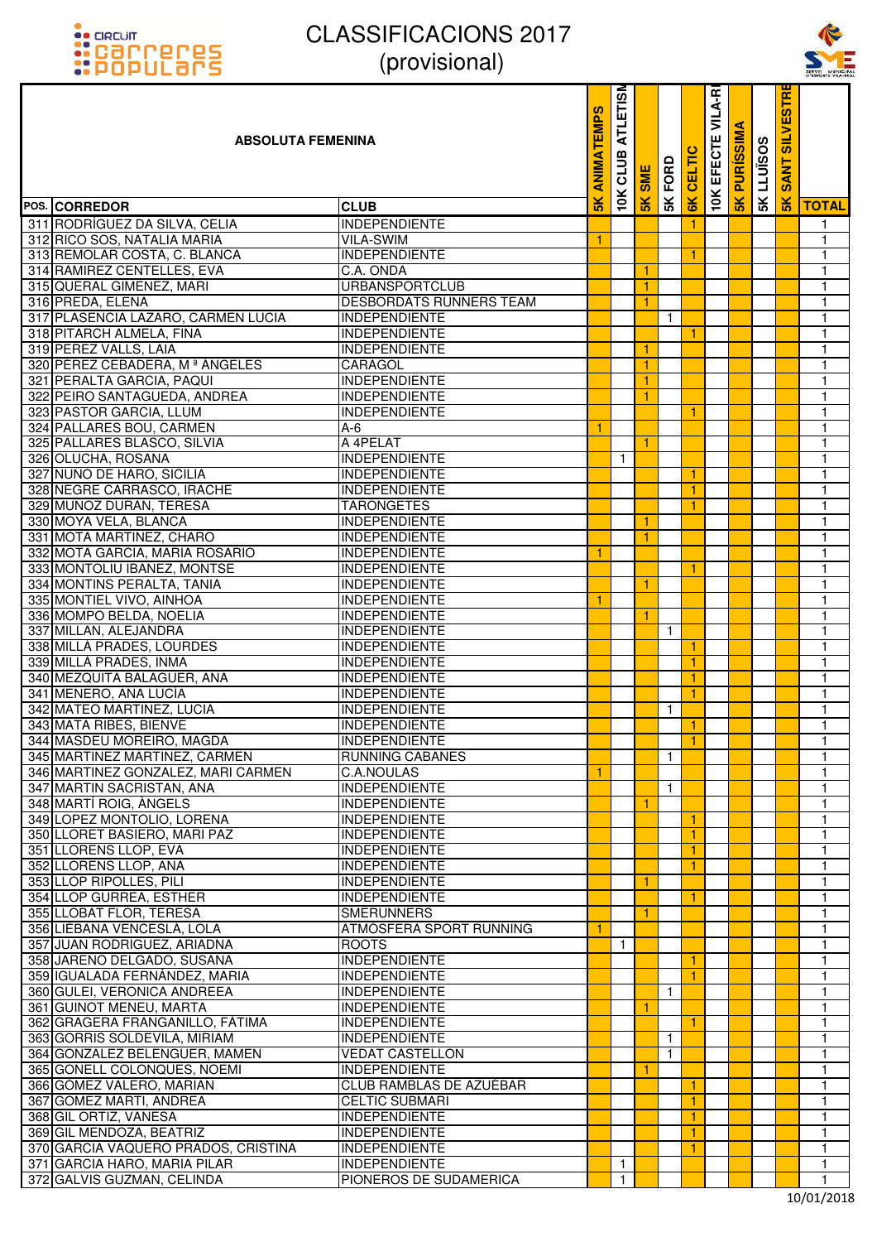



| <b>::</b> POPULƏMS                                              | UUUUUUUU                                        |                   |                         |               |              |               |                        |                      |                   |                                    | SERVEI MUNICH     |
|-----------------------------------------------------------------|-------------------------------------------------|-------------------|-------------------------|---------------|--------------|---------------|------------------------|----------------------|-------------------|------------------------------------|-------------------|
| <b>ABSOLUTA FEMENINA</b>                                        |                                                 | <b>ANIMATEMPS</b> | <b>ATLETISM</b><br>CLUB | <b>SME</b>    | FORD         | 高             | VILA-RI<br>ш<br>EFECTI | ⋖<br><b>PURISSIM</b> | <b>SK LLUISOS</b> | <b>SILVESTR</b><br><b>ANT</b><br>Ŵ |                   |
| POS. CORREDOR                                                   | <b>CLUB</b>                                     | $\frac{8}{10}$    | 10K                     | $\frac{1}{2}$ | 5K           | $\frac{1}{2}$ | <b>10K</b>             | 5K                   |                   | $\frac{1}{2}$                      | <b>TOTAL</b>      |
| 311 RODRÍGUEZ DA SILVA, CELIA                                   | <b>INDEPENDIENTE</b>                            |                   |                         |               |              | -1            |                        |                      |                   |                                    | 1                 |
| 312 RICO SOS, NATALIA MARIA                                     | <b>VILA-SWIM</b>                                | 1                 |                         |               |              |               |                        |                      |                   |                                    | $\mathbf{1}$      |
| 313 REMOLAR COSTA, C. BLANCA                                    | <b>INDEPENDIENTE</b>                            |                   |                         |               |              | 1             |                        |                      |                   |                                    | $\mathbf{1}$      |
| 314 RAMIREZ CENTELLES, EVA                                      | C.A. ONDA                                       |                   |                         |               |              |               |                        |                      |                   |                                    | 1                 |
| 315 QUERAL GIMENEZ, MARI                                        | <b>URBANSPORTCLUB</b>                           |                   |                         | 1             |              |               |                        |                      |                   |                                    | $\mathbf{1}$      |
| 316 PREDA, ELENA<br>317 PLASENCIA LAZARO, CARMEN LUCIA          | DESBORDATS RUNNERS TEAM<br><b>INDEPENDIENTE</b> |                   |                         |               | $\mathbf{1}$ |               |                        |                      |                   |                                    | 1<br>$\mathbf{1}$ |
| 318 PITARCH ALMELA, FINA                                        | <b>INDEPENDIENTE</b>                            |                   |                         |               |              | 1             |                        |                      |                   |                                    | $\mathbf{1}$      |
| 319 PEREZ VALLS, LAIA                                           | <b>INDEPENDIENTE</b>                            |                   |                         | 1             |              |               |                        |                      |                   |                                    | 1                 |
| 320 PÉREZ CEBADERA, Mª ÁNGELES                                  | CARAGOL                                         |                   |                         |               |              |               |                        |                      |                   |                                    | 1                 |
| 321 PERALTA GARCIA, PAQUI                                       | <b>INDEPENDIENTE</b>                            |                   |                         |               |              |               |                        |                      |                   |                                    | $\mathbf{1}$      |
| 322 PEIRO SANTAGUEDA, ANDREA                                    | <b>INDEPENDIENTE</b>                            |                   |                         | 1             |              |               |                        |                      |                   |                                    | $\mathbf{1}$      |
| 323 PASTOR GARCIA, LLUM                                         | <b>INDEPENDIENTE</b>                            |                   |                         |               |              | 1             |                        |                      |                   |                                    | $\mathbf{1}$      |
| 324 PALLARES BOU, CARMEN                                        | $A-6$                                           | 1                 |                         |               |              |               |                        |                      |                   |                                    | 1                 |
| 325 PALLARES BLASCO, SILVIA                                     | A 4PELAT                                        |                   |                         |               |              |               |                        |                      |                   |                                    | $\mathbf{1}$      |
| 326 OLUCHA, ROSANA                                              | <b>INDEPENDIENTE</b>                            |                   | $\mathbf{1}$            |               |              |               |                        |                      |                   |                                    | $\mathbf{1}$      |
| 327 NUÑO DE HARO, SICILIA                                       | <b>INDEPENDIENTE</b>                            |                   |                         |               |              | 1             |                        |                      |                   |                                    | $\mathbf{1}$      |
| 328 NEGRE CARRASCO, IRACHE                                      | <b>INDEPENDIENTE</b>                            |                   |                         |               |              |               |                        |                      |                   |                                    | 1                 |
| 329 MUÑOZ DURAN, TERESA                                         | <b>TARONGETES</b>                               |                   |                         |               |              |               |                        |                      |                   |                                    | 1                 |
| 330 MOYA VELA, BLANCA                                           | <b>INDEPENDIENTE</b>                            |                   |                         | 1             |              |               |                        |                      |                   |                                    | 1                 |
| 331 MOTA MARTINEZ, CHARO                                        | <b>INDEPENDIENTE</b>                            |                   |                         | 1             |              |               |                        |                      |                   |                                    | $\mathbf{1}$      |
| 332 MOTA GARCIA, MARIA ROSARIO                                  | INDEPENDIENTE                                   | 1                 |                         |               |              | -1            |                        |                      |                   |                                    | 1<br>$\mathbf{1}$ |
| 333 MONTOLIU IBAÑEZ, MONTSE<br>334 MONTINS PERALTA, TANIA       | INDEPENDIENTE<br><b>INDEPENDIENTE</b>           |                   |                         |               |              |               |                        |                      |                   |                                    | $\mathbf{1}$      |
| 335 MONTIEL VIVO, AINHOA                                        | <b>INDEPENDIENTE</b>                            | 1                 |                         |               |              |               |                        |                      |                   |                                    | $\mathbf{1}$      |
| 336 MOMPO BELDA, NOELIA                                         | INDEPENDIENTE                                   |                   |                         | 1             |              |               |                        |                      |                   |                                    | $\mathbf{1}$      |
| 337 MILLAN, ALEJANDRA                                           | INDEPENDIENTE                                   |                   |                         |               | $\mathbf{1}$ |               |                        |                      |                   |                                    | 1                 |
| 338 MILLÁ PRADES, LOURDES                                       | <b>INDEPENDIENTE</b>                            |                   |                         |               |              |               |                        |                      |                   |                                    | $\mathbf{1}$      |
| 339 MILLÁ PRADES, INMA                                          | <b>INDEPENDIENTE</b>                            |                   |                         |               |              | 1             |                        |                      |                   |                                    | $\mathbf{1}$      |
| 340 MEZQUITA BALAGUER, ANA                                      | <b>INDEPENDIENTE</b>                            |                   |                         |               |              | 1             |                        |                      |                   |                                    | 1                 |
| 341 MENERO, ANA LUCÍA                                           | <b>INDEPENDIENTE</b>                            |                   |                         |               |              | 1             |                        |                      |                   |                                    | $\mathbf{1}$      |
| 342 MATEO MARTINEZ, LUCIA                                       | <b>INDEPENDIENTE</b>                            |                   |                         |               | $\mathbf{1}$ |               |                        |                      |                   |                                    | 1                 |
| 343 MATA RIBES, BIENVE                                          | <b>INDEPENDIENTE</b>                            |                   |                         |               |              | $\vert$ 1     |                        |                      |                   |                                    | $\overline{1}$    |
| 344 MASDEU MOREIRO, MAGDA                                       | <b>INDEPENDIENTE</b>                            |                   |                         |               |              | $\mathbf{1}$  |                        |                      |                   |                                    | 1                 |
| 345 MARTINEZ MARTINEZ, CARMEN                                   | <b>RUNNING CABANES</b>                          |                   |                         |               | $\mathbf{1}$ |               |                        |                      |                   |                                    | 1                 |
| 346 MARTINEZ GONZALEZ, MARI CARMEN<br>347 MARTIN SACRISTAN, ANA | C.A.NOULAS<br><b>INDEPENDIENTE</b>              | 1                 |                         |               | $\mathbf{1}$ |               |                        |                      |                   |                                    | 1<br>1            |
| 348 MARTÍ ROIG, ÀNGELS                                          | <b>INDEPENDIENTE</b>                            |                   |                         | 1             |              |               |                        |                      |                   |                                    | 1                 |
| 349 LOPEZ MONTOLIO, LORENA                                      | <b>INDEPENDIENTE</b>                            |                   |                         |               |              | 1             |                        |                      |                   |                                    | 1                 |
| 350 LLORET BASIERO, MARI PAZ                                    | <b>INDEPENDIENTE</b>                            |                   |                         |               |              | 1             |                        |                      |                   |                                    | 1                 |
| 351 LLORENS LLOP, EVA                                           | <b>INDEPENDIENTE</b>                            |                   |                         |               |              |               |                        |                      |                   |                                    | 1                 |
| 352 LLORENS LLOP, ANA                                           | <b>INDEPENDIENTE</b>                            |                   |                         |               |              |               |                        |                      |                   |                                    | 1                 |
| 353 LLOP RIPOLLES, PILI                                         | <b>INDEPENDIENTE</b>                            |                   |                         |               |              |               |                        |                      |                   |                                    | 1                 |
| 354 LLOP GURREA, ESTHER                                         | <b>INDEPENDIENTE</b>                            |                   |                         |               |              | 1             |                        |                      |                   |                                    | 1                 |
| 355 LLOBAT FLOR, TERESA                                         | <b>SMERUNNERS</b>                               |                   |                         |               |              |               |                        |                      |                   |                                    | 1                 |
| 356 LIÉBANA VENCESLÁ, LOLA                                      | ATMÓSFERA SPORT RUNNING                         |                   |                         |               |              |               |                        |                      |                   |                                    | 1                 |
| 357 JUAN RODRIGUEZ, ARIADNA                                     | <b>ROOTS</b>                                    |                   | $\mathbf{1}$            |               |              |               |                        |                      |                   |                                    | 1                 |
| 358 JAREÑO DELGADO, SUSANA                                      | <b>INDEPENDIENTE</b>                            |                   |                         |               |              | 1             |                        |                      |                   |                                    | 1                 |
| 359 IGUALADA FERNÁNDEZ, MARIA                                   | <b>INDEPENDIENTE</b>                            |                   |                         |               |              | $\mathbf{1}$  |                        |                      |                   |                                    | 1                 |
| 360 GULEI, VERONICA ANDREEA                                     | <b>INDEPENDIENTE</b>                            |                   |                         |               | $\mathbf{1}$ |               |                        |                      |                   |                                    | 1                 |
| 361 GUINOT MENEU, MARTA<br>362 GRAGERA FRANGANILLO, FÁTIMA      | <b>INDEPENDIENTE</b><br><b>INDEPENDIENTE</b>    |                   |                         | 1             |              | 1             |                        |                      |                   |                                    | 1<br>1            |
| 363 GORRIS SOLDEVILA, MIRIAM                                    | <b>INDEPENDIENTE</b>                            |                   |                         |               | $\mathbf{1}$ |               |                        |                      |                   |                                    | 1                 |
| 364 GONZALEZ BELENGUER, MAMEN                                   | <b>VEDAT CASTELLON</b>                          |                   |                         |               | $\mathbf{1}$ |               |                        |                      |                   |                                    | 1                 |
| 365 GONELL COLONQUES, NOEMI                                     | INDEPENDIENTE                                   |                   |                         | 1             |              |               |                        |                      |                   |                                    | 1                 |
| 366 GÓMEZ VALERO, MARIAN                                        | CLUB RAMBLAS DE AZUÉBAR                         |                   |                         |               |              | 1             |                        |                      |                   |                                    | 1                 |
| 367 GOMEZ MARTI, ANDREA                                         | <b>CELTIC SUBMARI</b>                           |                   |                         |               |              | 1             |                        |                      |                   |                                    | 1                 |
| 368 GIL ORTIZ, VANESA                                           | <b>INDEPENDIENTE</b>                            |                   |                         |               |              | 1             |                        |                      |                   |                                    | 1                 |
| 369 GIL MENDOZA, BEATRIZ                                        | <b>INDEPENDIENTE</b>                            |                   |                         |               |              |               |                        |                      |                   |                                    | 1                 |
| 370 GARCIA VAQUERO PRADOS, CRISTINA                             | <b>INDEPENDIENTE</b>                            |                   |                         |               |              | 1             |                        |                      |                   |                                    | 1                 |
| 371 GARCIA HARO, MARIA PILAR                                    | <b>INDEPENDIENTE</b>                            |                   | $\mathbf{1}$            |               |              |               |                        |                      |                   |                                    | 1                 |
| 372 GALVIS GUZMAN, CELINDA                                      | PIONEROS DE SUDAMERICA                          |                   | $\mathbf{1}$            |               |              |               |                        |                      |                   |                                    | 1                 |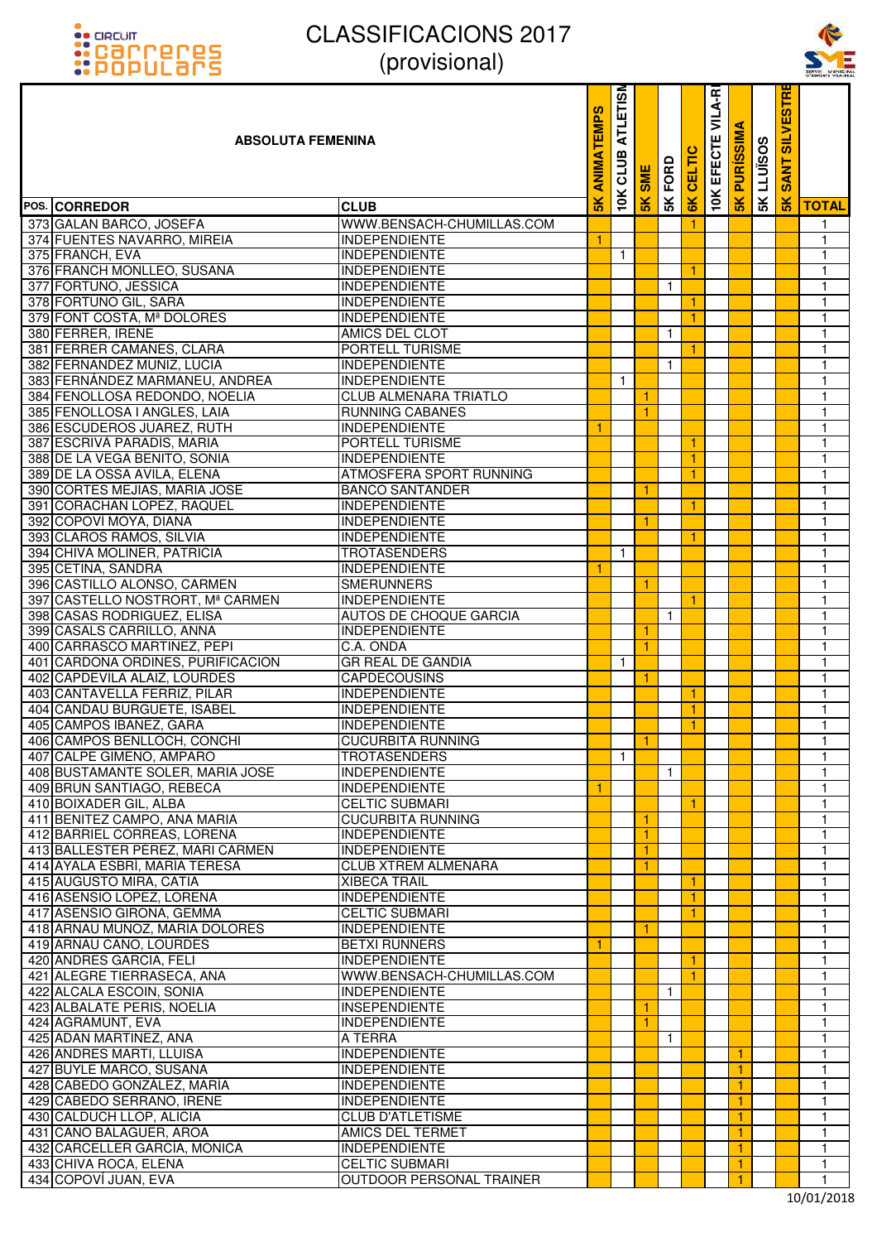



| <b>::</b> POPULƏMS                                                | UUUUUUUU                                           |                   |                         |               |              |                      |                        |                      |            |                                   | SERVEI MUNICH                |
|-------------------------------------------------------------------|----------------------------------------------------|-------------------|-------------------------|---------------|--------------|----------------------|------------------------|----------------------|------------|-----------------------------------|------------------------------|
| <b>ABSOLUTA FEMENINA</b>                                          |                                                    | <b>ANIMATEMPS</b> | <b>ATLETISM</b><br>CLUB | <b>SME</b>    | FORD         | 高                    | VILA-RI<br>Ш<br>EFECTI | ⋖<br><b>PURISSIM</b> | 5K LLUISOS | <b>SILVESTR</b><br><b>NT</b><br>Ŵ |                              |
| POS. CORREDOR                                                     | <b>CLUB</b>                                        | $\frac{8}{10}$    | 10K                     | $\frac{1}{2}$ | 5K           | $\frac{1}{2}$        | 10K                    | 5K                   |            | $\frac{1}{2}$                     | <b>TOTAL</b>                 |
| 373 GALAN BARCO, JOSEFA                                           | WWW.BENSACH-CHUMILLAS.COM                          |                   |                         |               |              | -1                   |                        |                      |            |                                   | 1                            |
| 374 FUENTES NAVARRO, MIREIA                                       | <b>INDEPENDIENTE</b>                               | -1                |                         |               |              |                      |                        |                      |            |                                   | $\mathbf{1}$                 |
| 375 FRANCH, EVA                                                   | <b>INDEPENDIENTE</b>                               |                   | $\mathbf{1}$            |               |              |                      |                        |                      |            |                                   | 1                            |
| 376 FRANCH MONLLEO, SUSANA                                        | <b>INDEPENDIENTE</b>                               |                   |                         |               |              | 1                    |                        |                      |            |                                   | 1                            |
| 377 FORTUÑO, JESSICA<br>378 FORTUÑO GIL, SARA                     | <b>INDEPENDIENTE</b>                               |                   |                         |               | $\mathbf{1}$ |                      |                        |                      |            |                                   | 1<br>$\mathbf{1}$            |
| 379 FONT COSTA, Mª DOLORES                                        | <b>INDEPENDIENTE</b><br><b>INDEPENDIENTE</b>       |                   |                         |               |              | 1<br>1               |                        |                      |            |                                   | 1                            |
| 380 FERRER, IRENE                                                 | AMICS DEL CLOT                                     |                   |                         |               | $\mathbf{1}$ |                      |                        |                      |            |                                   | $\mathbf{1}$                 |
| 381 FERRER CAMAÑES, CLARA                                         | PORTELL TURISME                                    |                   |                         |               |              | -1                   |                        |                      |            |                                   | 1                            |
| 382 FERNANDEZ MUÑIZ, LUCIA                                        | <b>INDEPENDIENTE</b>                               |                   |                         |               | 1            |                      |                        |                      |            |                                   | 1                            |
| 383 FERNÁNDEZ MARMANEU, ANDREA                                    | <b>INDEPENDIENTE</b>                               |                   | $\mathbf{1}$            |               |              |                      |                        |                      |            |                                   | 1                            |
| 384 FENOLLOSA REDONDO, NOELIA                                     | <b>CLUB ALMENARA TRIATLO</b>                       |                   |                         | 1             |              |                      |                        |                      |            |                                   | $\mathbf{1}$                 |
| 385 FENOLLOSA I ANGLES, LAIA                                      | <b>RUNNING CABANES</b>                             |                   |                         | 1             |              |                      |                        |                      |            |                                   | 1                            |
| 386 ESCUDEROS JUAREZ, RUTH                                        | <b>INDEPENDIENTE</b>                               | 1                 |                         |               |              |                      |                        |                      |            |                                   | $\mathbf{1}$                 |
| 387 ESCRIVÀ PARADÍS, MARIA                                        | PORTELL TURISME                                    |                   |                         |               |              |                      |                        |                      |            |                                   | 1                            |
| 388 DE LA VEGA BENITO, SONIA                                      | <b>INDEPENDIENTE</b>                               |                   |                         |               |              | 1                    |                        |                      |            |                                   | $\mathbf{1}$                 |
| 389 DE LA OSSA AVILA, ELENA                                       | ATMOSFERA SPORT RUNNING                            |                   |                         |               |              | 1                    |                        |                      |            |                                   | $\mathbf{1}$<br>$\mathbf{1}$ |
| 390 CORTES MEJIAS, MARIA JOSE<br>391 CORACHAN LOPEZ, RAQUEL       | <b>BANCO SANTANDER</b><br><b>INDEPENDIENTE</b>     |                   |                         | 1             |              | 1                    |                        |                      |            |                                   | 1                            |
| 392 COPOVÍ MOYA, DIANA                                            | <b>INDEPENDIENTE</b>                               |                   |                         |               |              |                      |                        |                      |            |                                   | $\mathbf{1}$                 |
| 393 CLAROS RAMOS, SILVIA                                          | <b>INDEPENDIENTE</b>                               |                   |                         |               |              | 1                    |                        |                      |            |                                   | $\mathbf{1}$                 |
| 394 CHIVA MOLINER, PATRICIA                                       | <b>TROTASENDERS</b>                                |                   | $\mathbf{1}$            |               |              |                      |                        |                      |            |                                   | 1                            |
| 395 CETINA, SANDRA                                                | <b>INDEPENDIENTE</b>                               | 1                 |                         |               |              |                      |                        |                      |            |                                   | $\mathbf{1}$                 |
| 396 CASTILLO ALONSO, CARMEN                                       | <b>SMERUNNERS</b>                                  |                   |                         |               |              |                      |                        |                      |            |                                   | $\mathbf{1}$                 |
| 397 CASTELLO NOSTRORT, Mª CARMEN                                  | <b>INDEPENDIENTE</b>                               |                   |                         |               |              | 1                    |                        |                      |            |                                   | $\mathbf{1}$                 |
| 398 CASAS RODRIGUEZ, ELISA                                        | AUTOS DE CHOQUE GARCIA                             |                   |                         |               | $\mathbf{1}$ |                      |                        |                      |            |                                   | $\mathbf{1}$                 |
| 399 CASALS CARRILLO, ANNA                                         | INDEPENDIENTE                                      |                   |                         |               |              |                      |                        |                      |            |                                   | 1                            |
| 400 CARRASCO MARTINEZ, PEPI                                       | C.A. ONDA                                          |                   |                         |               |              |                      |                        |                      |            |                                   | $\mathbf{1}$                 |
| 401 CARDONA ORDINES, PURIFICACION<br>402 CAPDEVILA ALAIZ, LOURDES | <b>GR REAL DE GANDIA</b><br><b>CAPDECOUSINS</b>    |                   | $\mathbf{1}$            | 1             |              |                      |                        |                      |            |                                   | $\mathbf{1}$<br>$\mathbf{1}$ |
| 403 CANTAVELLA FERRIZ, PILAR                                      | <b>INDEPENDIENTE</b>                               |                   |                         |               |              | 1                    |                        |                      |            |                                   | 1                            |
| 404 CANDAU BURGUETE, ISABEL                                       | <b>INDEPENDIENTE</b>                               |                   |                         |               |              | $\mathbf{1}$         |                        |                      |            |                                   | 1                            |
| 405 CAMPOS IBAÑEZ, GARA                                           | <b>INDEPENDIENTE</b>                               |                   |                         |               |              | $\overline{1}$       |                        |                      |            |                                   | $\overline{1}$               |
| 406 CAMPOS BENLLOCH, CONCHI                                       | <b>CUCURBITA RUNNING</b>                           |                   |                         | 1             |              |                      |                        |                      |            |                                   | 1                            |
| 407 CALPE GIMENO, AMPARO                                          | <b>TROTASENDERS</b>                                |                   | $\mathbf{1}$            |               |              |                      |                        |                      |            |                                   | 1                            |
| 408 BUSTAMANTE SOLER, MARIA JOSE                                  | <b>INDEPENDIENTE</b>                               |                   |                         |               | $\mathbf{1}$ |                      |                        |                      |            |                                   | 1                            |
| 409 BRUN SANTIAGO, REBECA                                         | <b>INDEPENDIENTE</b>                               | 1                 |                         |               |              |                      |                        |                      |            |                                   | 1                            |
| 410 BOIXADER GIL, ALBA                                            | <b>CELTIC SUBMARI</b>                              |                   |                         |               |              | $\blacktriangleleft$ |                        |                      |            |                                   | 1                            |
| 411 BENITEZ CAMPO, ANA MARIA                                      | <b>CUCURBITA RUNNING</b>                           |                   |                         |               |              |                      |                        |                      |            |                                   | 1                            |
| 412 BARRIEL CORREAS, LORENA                                       | <b>INDEPENDIENTE</b>                               |                   |                         |               |              |                      |                        |                      |            |                                   | 1                            |
| 413 BALLESTER PÉREZ, MARI CARMEN<br>414 AYALA ESBRÍ, MARÍA TERESA | <b>INDEPENDIENTE</b><br><b>CLUB XTREM ALMENARA</b> |                   |                         |               |              |                      |                        |                      |            |                                   | 1<br>1                       |
| 415 AUGUSTO MIRA, CATIA                                           | <b>XIBECA TRAIL</b>                                |                   |                         |               |              | 1                    |                        |                      |            |                                   | 1                            |
| 416 ASENSIO LOPEZ, LORENA                                         | <b>INDEPENDIENTE</b>                               |                   |                         |               |              | 1                    |                        |                      |            |                                   | 1                            |
| 417 ASENSIO GIRONA, GEMMA                                         | <b>CELTIC SUBMARI</b>                              |                   |                         |               |              | 1                    |                        |                      |            |                                   | 1                            |
| 418 ARNAU MUÑOZ, MARIA DOLORES                                    | <b>INDEPENDIENTE</b>                               |                   |                         | 1             |              |                      |                        |                      |            |                                   | 1                            |
| 419 ARNAU CANO, LOURDES                                           | <b>BETXI RUNNERS</b>                               | $\mathbf{1}$      |                         |               |              |                      |                        |                      |            |                                   | 1                            |
| 420 ANDRES GARCIA, FELI                                           | <b>INDEPENDIENTE</b>                               |                   |                         |               |              | -1                   |                        |                      |            |                                   | 1                            |
| 421 ALEGRE TIERRASECA, ANA                                        | WWW.BENSACH-CHUMILLAS.COM                          |                   |                         |               |              | $\mathbf{1}$         |                        |                      |            |                                   | 1                            |
| 422 ALCALA ESCOIN, SONIA                                          | <b>INDEPENDIENTE</b>                               |                   |                         |               | $\mathbf{1}$ |                      |                        |                      |            |                                   | 1                            |
| 423 ALBALATE PERIS, NOELIA                                        | <b>INSEPENDIENTE</b>                               |                   |                         | 1             |              |                      |                        |                      |            |                                   | 1                            |
| 424 AGRAMUNT, EVA<br>425 ADAN MARTINEZ, ANA                       | <b>INDEPENDIENTE</b><br>A TERRA                    |                   |                         |               | $\mathbf{1}$ |                      |                        |                      |            |                                   | 1<br>1                       |
| 426 ANDRES MARTI, LLUISA                                          | <b>INDEPENDIENTE</b>                               |                   |                         |               |              |                      |                        | 1.                   |            |                                   | 1                            |
| 427 BUYLE MARCO, SUSANA                                           | <b>INDEPENDIENTE</b>                               |                   |                         |               |              |                      |                        | 1                    |            |                                   | 1                            |
| 428 CABEDO GONZÁLEZ, MARÍA                                        | <b>INDEPENDIENTE</b>                               |                   |                         |               |              |                      |                        | 1                    |            |                                   | 1                            |
| 429 CABEDO SERRANO, IRENE                                         | <b>INDEPENDIENTE</b>                               |                   |                         |               |              |                      |                        | 1                    |            |                                   | 1                            |
| 430 CALDUCH LLOP, ALICIA                                          | <b>CLUB D'ATLETISME</b>                            |                   |                         |               |              |                      |                        | 1.                   |            |                                   | 1                            |
| 431 CANO BALAGUER, AROA                                           | <b>AMICS DEL TERMET</b>                            |                   |                         |               |              |                      |                        | 1.                   |            |                                   | 1                            |
| 432 CARCELLER GARCÍA, MONICA                                      | <b>INDEPENDIENTE</b>                               |                   |                         |               |              |                      |                        | 1.                   |            |                                   | 1                            |
| 433 CHIVA ROCA, ELENA                                             | <b>CELTIC SUBMARI</b>                              |                   |                         |               |              |                      |                        | 1.                   |            |                                   | 1                            |
| 434 COPOVI JUAN, EVA                                              | OUTDOOR PERSONAL TRAINER                           |                   |                         |               |              |                      |                        |                      |            |                                   | 1                            |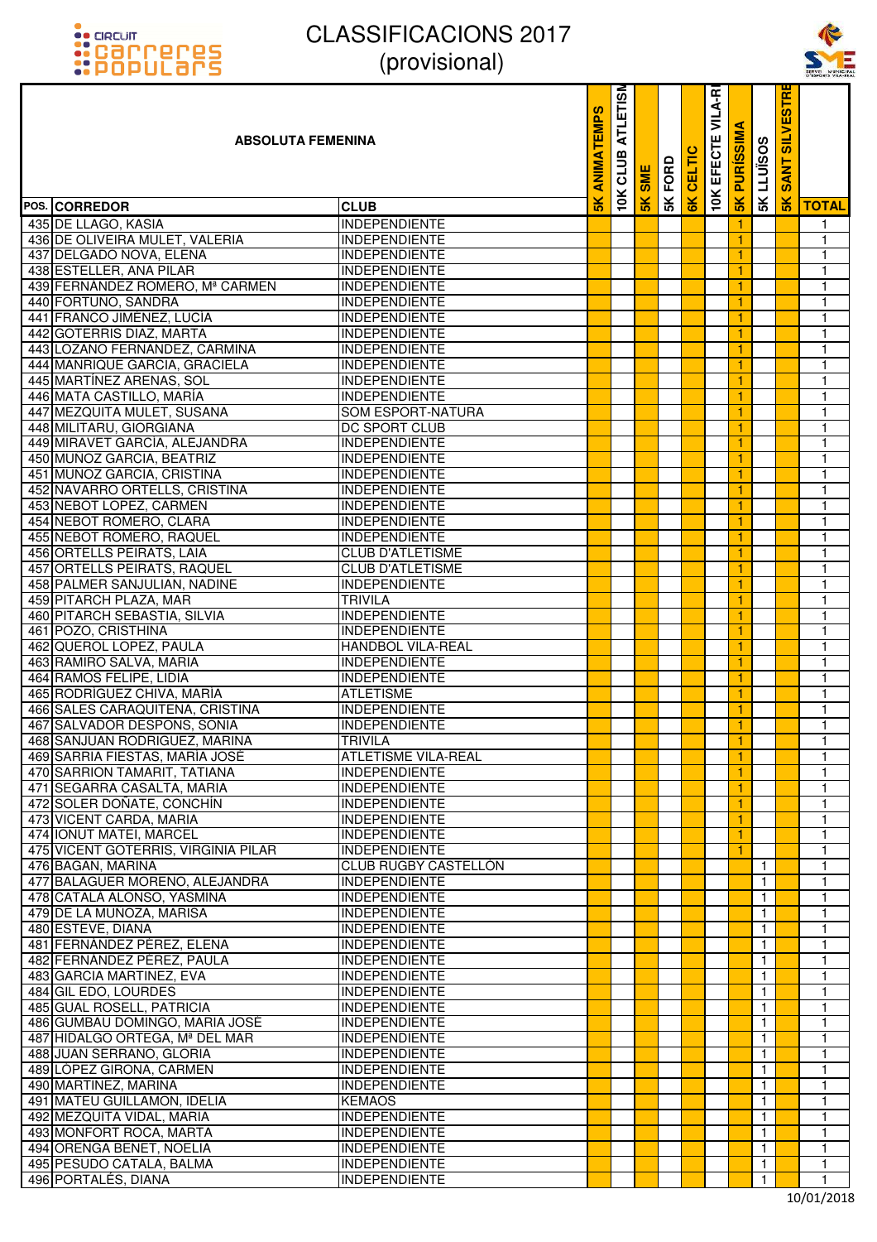



| <b>::POPULars</b>                                         | UUUUUUUU                                         |                   |                         |               |      |       |                        |                 |                              |                                              | SERVEI MUNICI     |
|-----------------------------------------------------------|--------------------------------------------------|-------------------|-------------------------|---------------|------|-------|------------------------|-----------------|------------------------------|----------------------------------------------|-------------------|
| <b>ABSOLUTA FEMENINA</b>                                  |                                                  | <b>ANIMATEMPS</b> | <b>ATLETISM</b><br>CLUB | <b>SME</b>    | FORD | CELTI | VILA-RI<br>ш<br>EFECTI | <b>PURISSIM</b> | LLUÏSOS                      | <b>IRIGS</b><br><b>IIV1IS</b><br><b>SANT</b> |                   |
| POS. CORREDOR                                             | <b>CLUB</b>                                      |                   | 10K                     | $\frac{1}{2}$ | 5K   | 6K    | 10K                    | 5K              | 5K                           | $\frac{1}{2}$                                | <b>TOTAL</b>      |
| 435 DE LLAGO, KASIA                                       | <b>INDEPENDIENTE</b>                             |                   |                         |               |      |       |                        | 1.              |                              |                                              | 1                 |
| 436 DE OLIVEIRA MULET, VALERIA                            | <b>INDEPENDIENTE</b>                             |                   |                         |               |      |       |                        |                 |                              |                                              | 1                 |
| 437 DELGADO NOVA, ELENA                                   | <b>INDEPENDIENTE</b>                             |                   |                         |               |      |       |                        |                 |                              |                                              | $\mathbf{1}$      |
| 438 ESTELLER, ANA PILAR                                   | <b>INDEPENDIENTE</b>                             |                   |                         |               |      |       |                        |                 |                              |                                              | $\mathbf{1}$      |
| 439 FERNÁNDEZ ROMERO, Mª CARMEN                           | <b>INDEPENDIENTE</b>                             |                   |                         |               |      |       |                        | 1               |                              |                                              | 1                 |
| 440 FORTUÑO, SANDRA                                       | <b>INDEPENDIENTE</b>                             |                   |                         |               |      |       |                        |                 |                              |                                              | 1                 |
| 441 FRANCO JIMÉNEZ, LUCÍA                                 | <b>INDEPENDIENTE</b>                             |                   |                         |               |      |       |                        |                 |                              |                                              | $\mathbf{1}$      |
| 442 GOTERRIS DIAZ, MARTA<br>443 LOZANO FERNANDEZ, CARMINA | <b>INDEPENDIENTE</b><br><b>INDEPENDIENTE</b>     |                   |                         |               |      |       |                        | 1<br>1.         |                              |                                              | $\mathbf{1}$<br>1 |
| 444 MANRIQUE GARCIA, GRACIELA                             | <b>INDEPENDIENTE</b>                             |                   |                         |               |      |       |                        | 1               |                              |                                              | 1                 |
| 445 MARTÍNEZ ARENAS, SOL                                  | <b>INDEPENDIENTE</b>                             |                   |                         |               |      |       |                        |                 |                              |                                              | $\mathbf{1}$      |
| 446 MATA CASTILLO, MARÍA                                  | <b>INDEPENDIENTE</b>                             |                   |                         |               |      |       |                        | 1.              |                              |                                              | $\mathbf{1}$      |
| 447 MEZQUITA MULET, SUSANA                                | <b>SOM ESPORT-NATURA</b>                         |                   |                         |               |      |       |                        | 1               |                              |                                              | $\mathbf{1}$      |
| 448 MILITARU, GIORGIANA                                   | DC SPORT CLUB                                    |                   |                         |               |      |       |                        | 1               |                              |                                              | 1                 |
| 449 MIRAVET GARCÍA, ALEJANDRA                             | <b>INDEPENDIENTE</b>                             |                   |                         |               |      |       |                        |                 |                              |                                              | 1                 |
| 450 MUÑOZ GARCIA, BEATRIZ                                 | <b>INDEPENDIENTE</b>                             |                   |                         |               |      |       |                        |                 |                              |                                              | $\mathbf{1}$      |
| 451 MUÑOZ GARCIA, CRISTINA                                | <b>INDEPENDIENTE</b>                             |                   |                         |               |      |       |                        |                 |                              |                                              | 1                 |
| 452 NAVARRO ORTELLS, CRISTINA                             | <b>INDEPENDIENTE</b>                             |                   |                         |               |      |       |                        | 1               |                              |                                              | $\mathbf{1}$      |
| 453 NEBOT LOPEZ, CARMEN                                   | <b>INDEPENDIENTE</b>                             |                   |                         |               |      |       |                        |                 |                              |                                              | 1                 |
| 454 NEBOT ROMERO, CLARA                                   | <b>INDEPENDIENTE</b>                             |                   |                         |               |      |       |                        |                 |                              |                                              | $\mathbf{1}$      |
| 455 NEBOT ROMERO, RAQUEL                                  | <b>INDEPENDIENTE</b>                             |                   |                         |               |      |       |                        | 1               |                              |                                              | $\mathbf{1}$      |
| 456 ORTELLS PEIRATS, LAIA                                 | <b>CLUB D'ATLETISME</b>                          |                   |                         |               |      |       |                        | 1.              |                              |                                              | 1                 |
| 457 ORTELLS PEIRATS, RAQUEL                               | <b>CLUB D'ATLETISME</b>                          |                   |                         |               |      |       |                        | 1               |                              |                                              | 1                 |
| 458 PALMER SANJULIAN, NADINE                              | <b>INDEPENDIENTE</b>                             |                   |                         |               |      |       |                        |                 |                              |                                              | $\mathbf{1}$      |
| 459 PITARCH PLAZA, MAR                                    | <b>TRIVILA</b>                                   |                   |                         |               |      |       |                        | 1.              |                              |                                              | $\mathbf{1}$      |
| 460 PITARCH SEBASTIA, SILVIA                              | <b>INDEPENDIENTE</b>                             |                   |                         |               |      |       |                        |                 |                              |                                              | $\mathbf{1}$      |
| 461 POZO, CRISTHINA<br>462 QUEROL LOPEZ, PAULA            | <b>INDEPENDIENTE</b><br><b>HANDBOL VILA-REAL</b> |                   |                         |               |      |       |                        | 1               |                              |                                              | 1<br>$\mathbf{1}$ |
| 463 RAMIRO SALVA, MARIA                                   | <b>INDEPENDIENTE</b>                             |                   |                         |               |      |       |                        | 1               |                              |                                              | $\mathbf{1}$      |
| 464 RAMOS FELIPE, LIDIA                                   | <b>INDEPENDIENTE</b>                             |                   |                         |               |      |       |                        | 1               |                              |                                              | 1                 |
| 465 RODRÍGUEZ CHIVA, MARÍA                                | <b>ATLETISME</b>                                 |                   |                         |               |      |       |                        | 1               |                              |                                              | 1                 |
| 466 SALES CARAQUITENA, CRISTINA                           | <b>INDEPENDIENTE</b>                             |                   |                         |               |      |       |                        | 1               |                              |                                              | 1                 |
| 467 SALVADOR DESPONS, SONIA                               | <b>INDEPENDIENTE</b>                             |                   |                         |               |      |       |                        | $\overline{1}$  |                              |                                              | $\overline{1}$    |
| 468 SANJUAN RODRIGUEZ, MARINA                             | <b>TRIVILA</b>                                   |                   |                         |               |      |       |                        | 1               |                              |                                              | 1                 |
| 469 SARRIA FIESTAS, MARÍA JOSÉ                            | ATLETISME VILA-REAL                              |                   |                         |               |      |       |                        | 1.              |                              |                                              | $\mathbf{1}$      |
| 470 SARRION TAMARIT, TATIANA                              | <b>INDEPENDIENTE</b>                             |                   |                         |               |      |       |                        | 1.              |                              |                                              | 1                 |
| 471 SEGARRA CASALTA, MARIA                                | <b>INDEPENDIENTE</b>                             |                   |                         |               |      |       |                        |                 |                              |                                              | $\mathbf{1}$      |
| 472 SOLER DOÑATE, CONCHÍN                                 | <b>INDEPENDIENTE</b>                             |                   |                         |               |      |       |                        | 1               |                              |                                              | 1                 |
| 473 VICENT CARDA, MARIA                                   | <b>INDEPENDIENTE</b>                             |                   |                         |               |      |       |                        |                 |                              |                                              | 1                 |
| 474 IONUT MATEI, MARCEL                                   | <b>INDEPENDIENTE</b>                             |                   |                         |               |      |       |                        |                 |                              |                                              | 1                 |
| 475 VICENT GOTERRIS, VIRGINIA PILAR                       | <b>INDEPENDIENTE</b>                             |                   |                         |               |      |       |                        |                 |                              |                                              | 1                 |
| 476 BAGAN, MARINA                                         | CLUB RUGBY CASTELLÓN                             |                   |                         |               |      |       |                        |                 | $\mathbf{1}$                 |                                              | $\mathbf{1}$      |
| 477 BALAGUER MORENO, ALEJANDRA                            | <b>INDEPENDIENTE</b>                             |                   |                         |               |      |       |                        |                 | $\mathbf{1}$                 |                                              | $\mathbf{1}$      |
| 478 CATALÁ ALONSO, YASMINA                                | <b>INDEPENDIENTE</b>                             |                   |                         |               |      |       |                        |                 | $\mathbf{1}$                 |                                              | 1                 |
| 479 DE LA MUÑOZA, MARISA                                  | <b>INDEPENDIENTE</b>                             |                   |                         |               |      |       |                        |                 | $\mathbf{1}$                 |                                              | 1                 |
| 480 ESTEVE, DIANA<br>481 FERNÁNDEZ PÉREZ, ELENA           | <b>INDEPENDIENTE</b><br><b>INDEPENDIENTE</b>     |                   |                         |               |      |       |                        |                 | $\mathbf{1}$<br>$\mathbf{1}$ |                                              | 1                 |
| 482 FERNÁNDEZ PÉREZ, PAULA                                | <b>INDEPENDIENTE</b>                             |                   |                         |               |      |       |                        |                 | $\mathbf{1}$                 |                                              | 1<br>1            |
| 483 GARCIA MARTINEZ, EVA                                  | INDEPENDIENTE                                    |                   |                         |               |      |       |                        |                 | $\mathbf 1$                  |                                              | 1                 |
| 484 GIL EDO, LOURDES                                      | <b>INDEPENDIENTE</b>                             |                   |                         |               |      |       |                        |                 | $\mathbf{1}$                 |                                              | 1                 |
| 485 GUAL ROSELL, PATRICIA                                 | <b>INDEPENDIENTE</b>                             |                   |                         |               |      |       |                        |                 | $\mathbf{1}$                 |                                              | 1                 |
| 486 GUMBAU DOMINGO, MARIA JOSÉ                            | <b>INDEPENDIENTE</b>                             |                   |                         |               |      |       |                        |                 | $\mathbf{1}$                 |                                              | $\mathbf{1}$      |
| 487 HIDALGO ORTEGA, Mª DEL MAR                            | <b>INDEPENDIENTE</b>                             |                   |                         |               |      |       |                        |                 | $\mathbf{1}$                 |                                              | 1                 |
| 488 JUAN SERRANO, GLORIA                                  | <b>INDEPENDIENTE</b>                             |                   |                         |               |      |       |                        |                 | $\mathbf{1}$                 |                                              | 1                 |
| 489 LÓPEZ GIRONA, CARMEN                                  | <b>INDEPENDIENTE</b>                             |                   |                         |               |      |       |                        |                 | $\mathbf{1}$                 |                                              | $\mathbf{1}$      |
| 490 MARTINEZ, MARINA                                      | <b>INDEPENDIENTE</b>                             |                   |                         |               |      |       |                        |                 | $\mathbf{1}$                 |                                              | 1                 |
| 491 MATEU GUILLAMON, IDELIA                               | <b>KEMAOS</b>                                    |                   |                         |               |      |       |                        |                 | $\mathbf{1}$                 |                                              | 1                 |
| 492 MEZQUITA VIDAL, MARIA                                 | <b>INDEPENDIENTE</b>                             |                   |                         |               |      |       |                        |                 | $\mathbf 1$                  |                                              | 1                 |
| 493 MONFORT ROCA, MARTA                                   | <b>INDEPENDIENTE</b>                             |                   |                         |               |      |       |                        |                 | $\mathbf{1}$                 |                                              | $\mathbf{1}$      |
| 494 ORENGA BENET, NOELIA                                  | <b>INDEPENDIENTE</b>                             |                   |                         |               |      |       |                        |                 | $\mathbf{1}$                 |                                              | 1                 |
| 495 PESUDO CATALA, BALMA                                  | <b>INDEPENDIENTE</b>                             |                   |                         |               |      |       |                        |                 | $\mathbf{1}$                 |                                              | 1                 |
| 496 PORTALÉS, DIANA                                       | <b>INDEPENDIENTE</b>                             |                   |                         |               |      |       |                        |                 | $\mathbf{1}$                 |                                              |                   |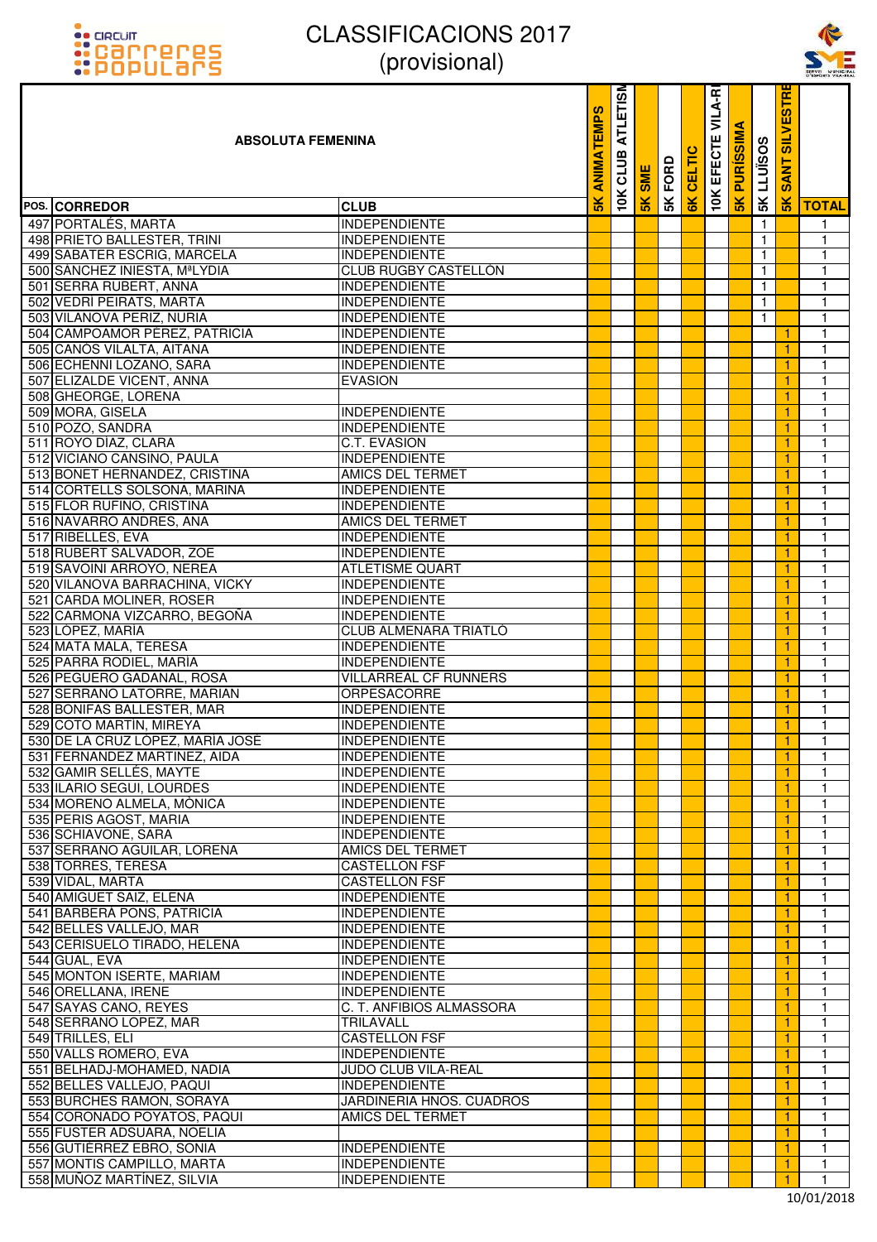



| <u> ::POPULArs</u>                                     | UUUUUUUU                                         |                   |                         |               |      |               |                        |                      |              |                                   | SERVEI MUNICH     |
|--------------------------------------------------------|--------------------------------------------------|-------------------|-------------------------|---------------|------|---------------|------------------------|----------------------|--------------|-----------------------------------|-------------------|
| <b>ABSOLUTA FEMENINA</b>                               |                                                  | <b>ANIMATEMPS</b> | <b>ATLETISM</b><br>CLUB | <b>SME</b>    | FORD | 高             | VILA-RI<br>Ш<br>EFECTI | ৰ<br><b>PURISSIM</b> | 5K LLUISOS   | <b>SILVESTR</b><br><b>NT</b><br>Ŵ |                   |
| POS. CORREDOR                                          | <b>CLUB</b>                                      |                   | 10K                     | $\frac{1}{2}$ | 5K   | $\frac{1}{2}$ | <b>10K</b>             | 5K                   |              | $\frac{1}{2}$                     | <b>TOTAL</b>      |
| 497 PORTALÉS, MARTA                                    | <b>INDEPENDIENTE</b>                             |                   |                         |               |      |               |                        |                      | $\mathbf{1}$ |                                   | 1                 |
| 498 PRIETO BALLESTER, TRINI                            | <b>INDEPENDIENTE</b>                             |                   |                         |               |      |               |                        |                      | $\mathbf{1}$ |                                   | $\mathbf{1}$      |
| 499 SABATER ESCRIG, MARCELA                            | <b>INDEPENDIENTE</b>                             |                   |                         |               |      |               |                        |                      | $\mathbf{1}$ |                                   | $\mathbf{1}$      |
| 500 SÁNCHEZ INIESTA, MªLYDIA                           | CLUB RUGBY CASTELLÓN                             |                   |                         |               |      |               |                        |                      | $\mathbf{1}$ |                                   | 1                 |
| 501 SERRA RUBERT, ANNA                                 | INDEPENDIENTE                                    |                   |                         |               |      |               |                        |                      | $\mathbf{1}$ |                                   | 1                 |
| 502 VEDRÍ PEIRATS, MARTA                               | <b>INDEPENDIENTE</b>                             |                   |                         |               |      |               |                        |                      | $\mathbf{1}$ |                                   | 1                 |
| 503 VILANOVA PERIZ, NURIA                              | <b>INDEPENDIENTE</b>                             |                   |                         |               |      |               |                        |                      | $\mathbf{1}$ |                                   | 1                 |
| 504 CAMPOAMOR PÉREZ, PATRICIA                          | <b>INDEPENDIENTE</b>                             |                   |                         |               |      |               |                        |                      |              | $\mathbf{1}$                      | 1                 |
| 505 CANÓS VILALTA, AITANA                              | <b>INDEPENDIENTE</b>                             |                   |                         |               |      |               |                        |                      |              | -1                                | 1                 |
| 506 ECHENNI LOZANO, SARA                               | <b>INDEPENDIENTE</b>                             |                   |                         |               |      |               |                        |                      |              | -1                                | 1                 |
| 507 ELIZALDE VICENT, ANNA<br>508 GHEORGE, LORENA       | <b>EVASION</b>                                   |                   |                         |               |      |               |                        |                      |              | 1                                 | 1<br>$\mathbf{1}$ |
| 509 MORA, GISELA                                       | <b>INDEPENDIENTE</b>                             |                   |                         |               |      |               |                        |                      |              | 1<br>1                            | 1                 |
| 510 POZO, SANDRA                                       | <b>INDEPENDIENTE</b>                             |                   |                         |               |      |               |                        |                      |              | 1                                 | $\mathbf{1}$      |
| 511 ROYO DÍAZ, CLARA                                   | C.T. EVASION                                     |                   |                         |               |      |               |                        |                      |              | 1                                 | $\mathbf{1}$      |
| 512 VICIANO CANSINO, PAULA                             | <b>INDEPENDIENTE</b>                             |                   |                         |               |      |               |                        |                      |              | 1                                 | $\mathbf{1}$      |
| 513 BONET HERNANDEZ, CRISTINA                          | AMICS DEL TERMET                                 |                   |                         |               |      |               |                        |                      |              | 1                                 | 1                 |
| 514 CORTELLS SOLSONA, MARINA                           | INDEPENDIENTE                                    |                   |                         |               |      |               |                        |                      |              | 1                                 | $\mathbf{1}$      |
| 515 FLOR RUFINO, CRISTINA                              | <b>INDEPENDIENTE</b>                             |                   |                         |               |      |               |                        |                      |              | 1                                 | $\mathbf{1}$      |
| 516 NAVARRO ANDRES, ANA                                | AMICS DEL TERMET                                 |                   |                         |               |      |               |                        |                      |              | 1                                 | 1                 |
| 517 RIBELLES, EVA                                      | <b>INDEPENDIENTE</b>                             |                   |                         |               |      |               |                        |                      |              | 1                                 | 1                 |
| 518 RUBERT SALVADOR, ZOE                               | <b>INDEPENDIENTE</b>                             |                   |                         |               |      |               |                        |                      |              | -1                                | 1                 |
| 519 SAVOINI ARROYO, NEREA                              | ATLETISME QUART                                  |                   |                         |               |      |               |                        |                      |              | 1                                 | $\mathbf{1}$      |
| 520 VILANOVA BARRACHINA, VICKY                         | <b>INDEPENDIENTE</b>                             |                   |                         |               |      |               |                        |                      |              | 1                                 | $\mathbf{1}$      |
| 521 CARDA MOLINER, ROSER                               | <b>INDEPENDIENTE</b>                             |                   |                         |               |      |               |                        |                      |              | 1                                 | 1                 |
| 522 CARMONA VIZCARRO, BEGOÑA                           | <b>INDEPENDIENTE</b>                             |                   |                         |               |      |               |                        |                      |              | 1                                 | 1                 |
| 523 LÓPEZ, MARÍA                                       | CLUB ALMENARA TRIATLO                            |                   |                         |               |      |               |                        |                      |              | 1                                 | 1                 |
| 524 MATA MALA, TERESA<br>525 PARRA RODIEL, MARÍA       | <b>INDEPENDIENTE</b><br><b>INDEPENDIENTE</b>     |                   |                         |               |      |               |                        |                      |              | 1                                 | $\mathbf{1}$      |
| 526 PEGUERO GADANAL, ROSA                              | <b>VILLARREAL CF RUNNERS</b>                     |                   |                         |               |      |               |                        |                      |              | 1<br>1                            | 1<br>1            |
| 527 SERRANO LATORRE, MARIAN                            | <b>ORPESACORRE</b>                               |                   |                         |               |      |               |                        |                      |              |                                   | 1                 |
| 528 BONIFAS BALLESTER, MAR                             | <b>INDEPENDIENTE</b>                             |                   |                         |               |      |               |                        |                      |              | 1                                 | 1                 |
| 529 COTO MARTÍN, MIREYA                                | <b>INDEPENDIENTE</b>                             |                   |                         |               |      |               |                        |                      |              | $\mathbf{1}$                      | $\overline{1}$    |
| 530 DE LA CRUZ LÓPEZ, MARÍA JOSÉ                       | <b>INDEPENDIENTE</b>                             |                   |                         |               |      |               |                        |                      |              | 1                                 | 1                 |
| 531 FERNANDEZ MARTINEZ, AIDA                           | <b>INDEPENDIENTE</b>                             |                   |                         |               |      |               |                        |                      |              | 1                                 | 1                 |
| 532 GAMIR SELLÉS, MAYTE                                | <b>INDEPENDIENTE</b>                             |                   |                         |               |      |               |                        |                      |              | 1                                 | 1                 |
| 533 ILARIO SEGUI, LOURDES                              | <b>INDEPENDIENTE</b>                             |                   |                         |               |      |               |                        |                      |              | 1                                 | 1                 |
| 534 MORENO ALMELA, MÒNICA                              | <b>INDEPENDIENTE</b>                             |                   |                         |               |      |               |                        |                      |              | 1                                 | $\mathbf{1}$      |
| 535 PERIS AGOST, MARIA                                 | <b>INDEPENDIENTE</b>                             |                   |                         |               |      |               |                        |                      |              | 1                                 | 1                 |
| 536 SCHIAVONE, SARA                                    | <b>INDEPENDIENTE</b>                             |                   |                         |               |      |               |                        |                      |              | 1                                 | 1                 |
| 537 SERRANO AGUILAR, LORENA                            | AMICS DEL TERMET                                 |                   |                         |               |      |               |                        |                      |              | -1                                | $\mathbf{1}$      |
| 538 TORRES, TERESA<br>539 VIDAL, MARTA                 | <b>CASTELLON FSF</b><br><b>CASTELLON FSF</b>     |                   |                         |               |      |               |                        |                      |              | 1<br>1                            | 1<br>1            |
| 540 AMIGUET SAIZ, ELENA                                | <b>INDEPENDIENTE</b>                             |                   |                         |               |      |               |                        |                      |              | 1                                 | 1                 |
| 541 BARBERÁ PONS, PATRICIA                             | <b>INDEPENDIENTE</b>                             |                   |                         |               |      |               |                        |                      |              | 1                                 | 1                 |
| 542 BELLES VALLEJO, MAR                                | <b>INDEPENDIENTE</b>                             |                   |                         |               |      |               |                        |                      |              | 1                                 | 1                 |
| 543 CERISUELO TIRADO, HELENA                           | <b>INDEPENDIENTE</b>                             |                   |                         |               |      |               |                        |                      |              | 1                                 | 1                 |
| 544 GUAL, EVA                                          | <b>INDEPENDIENTE</b>                             |                   |                         |               |      |               |                        |                      |              | 1                                 | 1                 |
| 545 MONTON ISERTE, MARIAM                              | <b>INDEPENDIENTE</b>                             |                   |                         |               |      |               |                        |                      |              | 1                                 | 1                 |
| 546 ORELLANA, IRENE                                    | <b>INDEPENDIENTE</b>                             |                   |                         |               |      |               |                        |                      |              | 1                                 | $\mathbf{1}$      |
| 547 SAYAS CANO, REYES                                  | C. T. ANFIBIOS ALMASSORA                         |                   |                         |               |      |               |                        |                      |              | 1                                 | $\mathbf{1}$      |
| 548 SERRANO LOPEZ, MAR                                 | TRILAVALL                                        |                   |                         |               |      |               |                        |                      |              | 1                                 | 1                 |
| 549 TRILLES, ELI                                       | <b>CASTELLON FSF</b>                             |                   |                         |               |      |               |                        |                      |              | 1                                 | 1                 |
| 550 VALLS ROMERO, EVA                                  | <b>INDEPENDIENTE</b>                             |                   |                         |               |      |               |                        |                      |              | 1                                 | $\mathbf{1}$      |
| 551 BELHADJ-MOHAMED, NADIA                             | JUDO CLUB VILA-REAL                              |                   |                         |               |      |               |                        |                      |              | 1                                 | 1                 |
| 552 BELLES VALLEJO, PAQUI<br>553 BURCHES RAMON, SORAYA | <b>INDEPENDIENTE</b><br>JARDINERIA HNOS. CUADROS |                   |                         |               |      |               |                        |                      |              | 1<br>1                            | 1<br>1            |
| 554 CORONADO POYATOS, PAQUI                            | <b>AMICS DEL TERMET</b>                          |                   |                         |               |      |               |                        |                      |              | -1                                | 1                 |
| 555 FUSTER ADSUARA, NOELIA                             |                                                  |                   |                         |               |      |               |                        |                      |              | -1                                | 1                 |
| 556 GUTIÉRREZ EBRO, SONIA                              | <b>INDEPENDIENTE</b>                             |                   |                         |               |      |               |                        |                      |              | 1                                 | $\mathbf{1}$      |
| 557 MONTIS CAMPILLO, MARTA                             | <b>INDEPENDIENTE</b>                             |                   |                         |               |      |               |                        |                      |              | 1                                 | 1                 |
| 558 MUNOZ MARTÍNEZ, SILVIA                             | <b>INDEPENDIENTE</b>                             |                   |                         |               |      |               |                        |                      |              | 1                                 | 1                 |